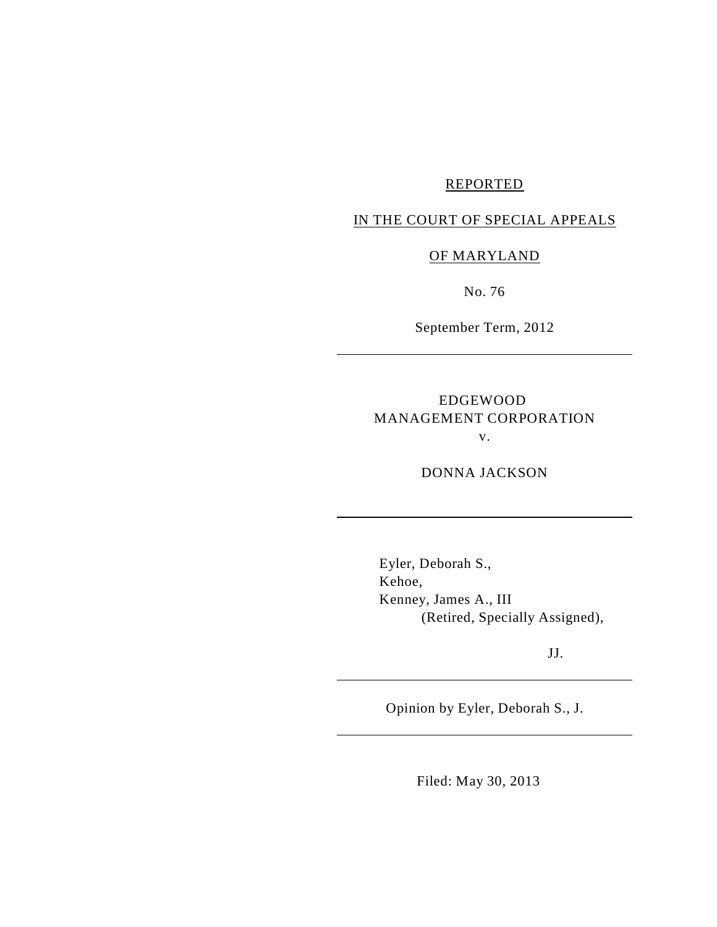# REPORTED

# IN THE COURT OF SPECIAL APPEALS

## OF MARYLAND

No. 76

September Term, 2012

# EDGEWOOD MANAGEMENT CORPORATION v.

DONNA JACKSON

Eyler, Deborah S., Kehoe, Kenney, James A., III (Retired, Specially Assigned),

JJ.

Opinion by Eyler, Deborah S., J.

Filed: May 30, 2013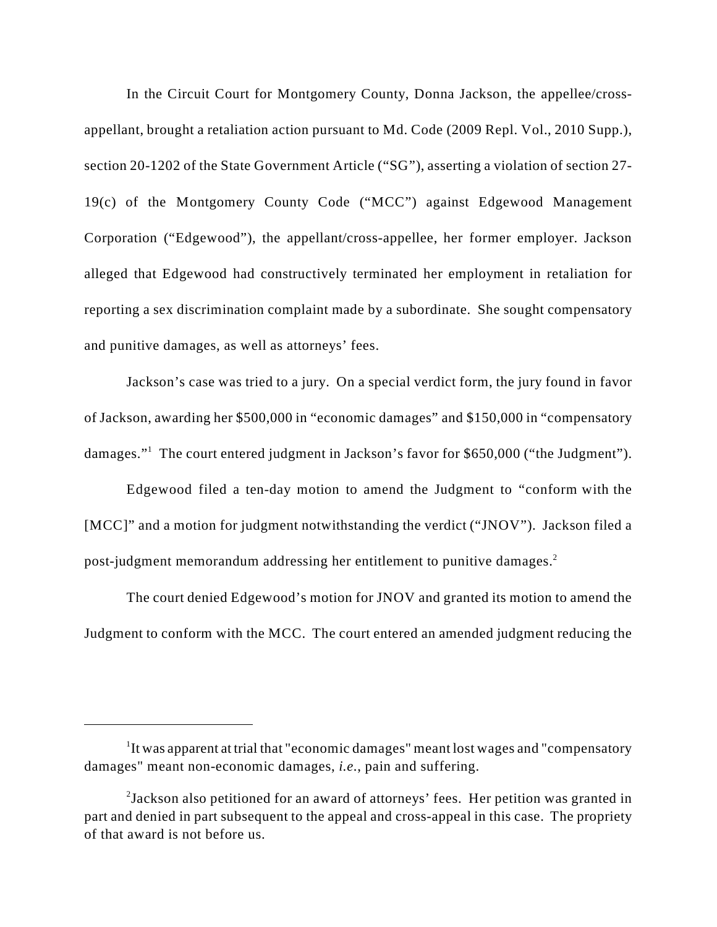In the Circuit Court for Montgomery County, Donna Jackson, the appellee/crossappellant, brought a retaliation action pursuant to Md. Code (2009 Repl. Vol., 2010 Supp.), section 20-1202 of the State Government Article ("SG"), asserting a violation of section 27- 19(c) of the Montgomery County Code ("MCC") against Edgewood Management Corporation ("Edgewood"), the appellant/cross-appellee, her former employer. Jackson alleged that Edgewood had constructively terminated her employment in retaliation for reporting a sex discrimination complaint made by a subordinate. She sought compensatory and punitive damages, as well as attorneys' fees.

Jackson's case was tried to a jury. On a special verdict form, the jury found in favor of Jackson, awarding her \$500,000 in "economic damages" and \$150,000 in "compensatory damages."<sup>1</sup> The court entered judgment in Jackson's favor for \$650,000 ("the Judgment").

 Edgewood filed a ten-day motion to amend the Judgment to "conform with the [MCC]" and a motion for judgment notwithstanding the verdict ("JNOV"). Jackson filed a post-judgment memorandum addressing her entitlement to punitive damages. <sup>2</sup>

The court denied Edgewood's motion for JNOV and granted its motion to amend the Judgment to conform with the MCC. The court entered an amended judgment reducing the

 $1$ It was apparent at trial that "economic damages" meant lost wages and "compensatory" damages" meant non-economic damages, *i.e.*, pain and suffering.

<sup>&</sup>lt;sup>2</sup>Jackson also petitioned for an award of attorneys' fees. Her petition was granted in part and denied in part subsequent to the appeal and cross-appeal in this case. The propriety of that award is not before us.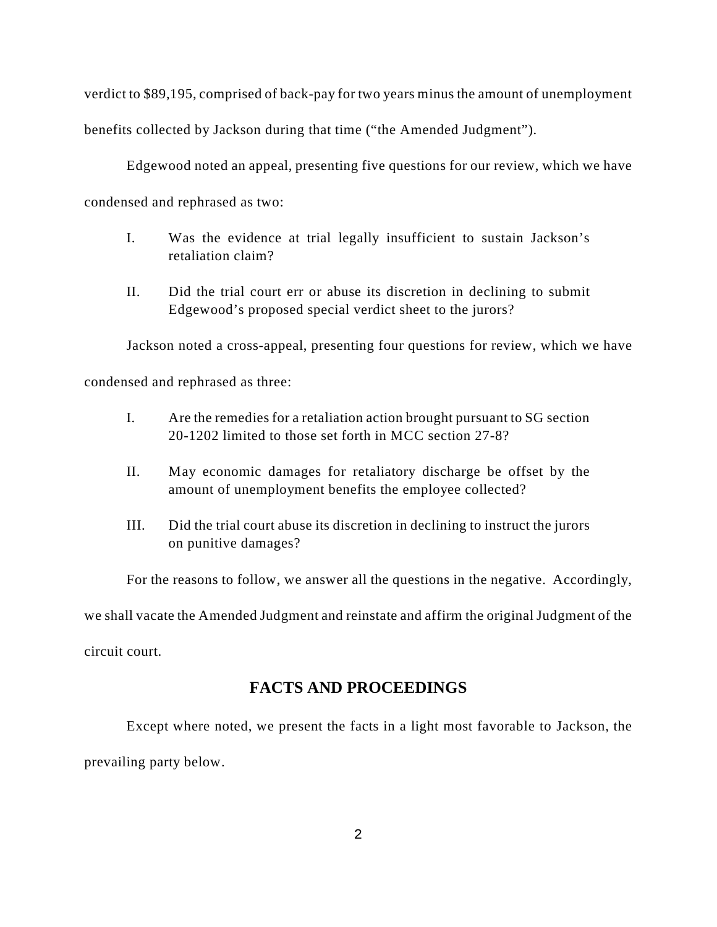verdict to \$89,195, comprised of back-pay for two years minus the amount of unemployment benefits collected by Jackson during that time ("the Amended Judgment").

Edgewood noted an appeal, presenting five questions for our review, which we have condensed and rephrased as two:

- I. Was the evidence at trial legally insufficient to sustain Jackson's retaliation claim?
- II. Did the trial court err or abuse its discretion in declining to submit Edgewood's proposed special verdict sheet to the jurors?

Jackson noted a cross-appeal, presenting four questions for review, which we have

condensed and rephrased as three:

- I. Are the remedies for a retaliation action brought pursuant to SG section 20-1202 limited to those set forth in MCC section 27-8?
- II. May economic damages for retaliatory discharge be offset by the amount of unemployment benefits the employee collected?
- III. Did the trial court abuse its discretion in declining to instruct the jurors on punitive damages?

For the reasons to follow, we answer all the questions in the negative. Accordingly,

we shall vacate the Amended Judgment and reinstate and affirm the original Judgment of the

circuit court.

# **FACTS AND PROCEEDINGS**

Except where noted, we present the facts in a light most favorable to Jackson, the prevailing party below.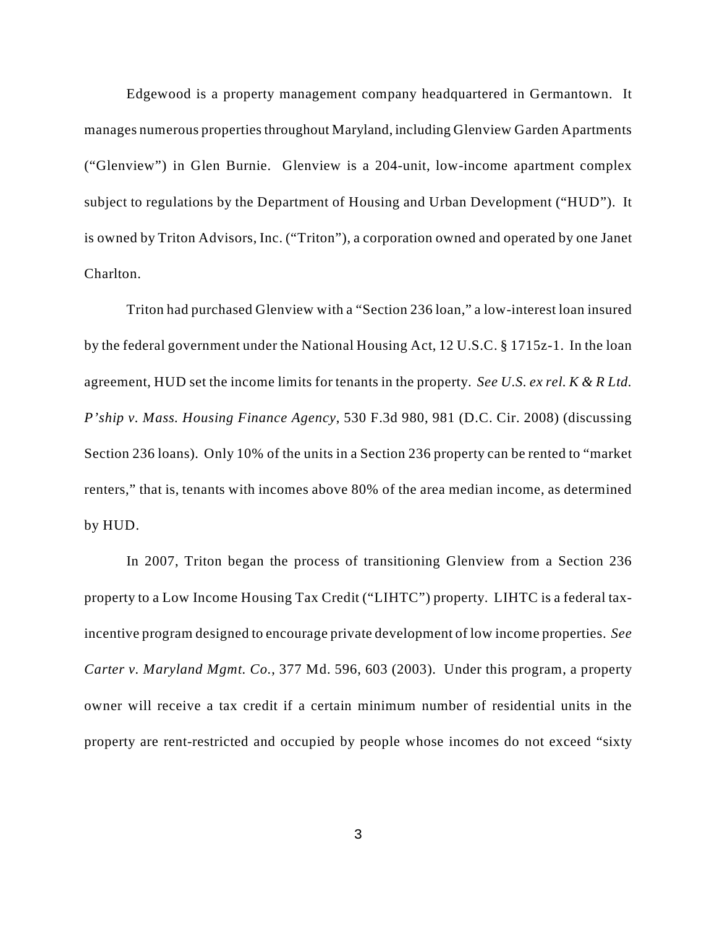Edgewood is a property management company headquartered in Germantown. It manages numerous properties throughout Maryland, including Glenview Garden Apartments ("Glenview") in Glen Burnie. Glenview is a 204-unit, low-income apartment complex subject to regulations by the Department of Housing and Urban Development ("HUD"). It is owned by Triton Advisors, Inc. ("Triton"), a corporation owned and operated by one Janet Charlton.

Triton had purchased Glenview with a "Section 236 loan," a low-interest loan insured by the federal government under the National Housing Act, 12 U.S.C. § 1715z-1. In the loan agreement, HUD set the income limits for tenants in the property. *See U.S. ex rel. K & R Ltd. P'ship v. Mass. Housing Finance Agency*, 530 F.3d 980, 981 (D.C. Cir. 2008) (discussing Section 236 loans). Only 10% of the units in a Section 236 property can be rented to "market renters," that is, tenants with incomes above 80% of the area median income, as determined by HUD.

In 2007, Triton began the process of transitioning Glenview from a Section 236 property to a Low Income Housing Tax Credit ("LIHTC") property. LIHTC is a federal taxincentive program designed to encourage private development of low income properties. *See Carter v. Maryland Mgmt. Co.*, 377 Md. 596, 603 (2003). Under this program, a property owner will receive a tax credit if a certain minimum number of residential units in the property are rent-restricted and occupied by people whose incomes do not exceed "sixty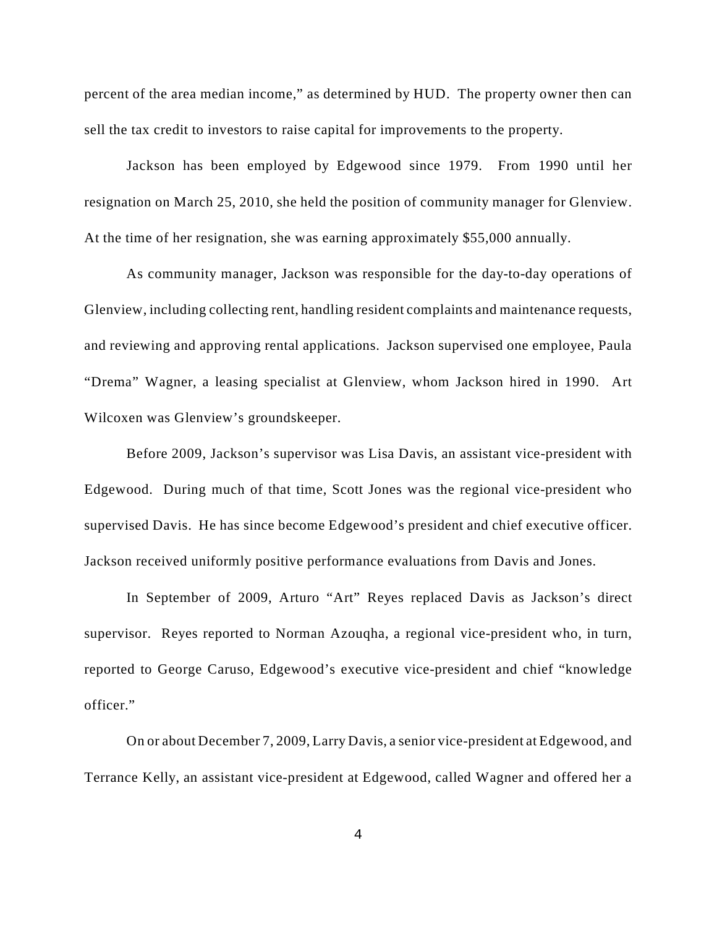percent of the area median income," as determined by HUD. The property owner then can sell the tax credit to investors to raise capital for improvements to the property.

Jackson has been employed by Edgewood since 1979. From 1990 until her resignation on March 25, 2010, she held the position of community manager for Glenview. At the time of her resignation, she was earning approximately \$55,000 annually.

As community manager, Jackson was responsible for the day-to-day operations of Glenview, including collecting rent, handling resident complaints and maintenance requests, and reviewing and approving rental applications. Jackson supervised one employee, Paula "Drema" Wagner, a leasing specialist at Glenview, whom Jackson hired in 1990. Art Wilcoxen was Glenview's groundskeeper.

Before 2009, Jackson's supervisor was Lisa Davis, an assistant vice-president with Edgewood. During much of that time, Scott Jones was the regional vice-president who supervised Davis. He has since become Edgewood's president and chief executive officer. Jackson received uniformly positive performance evaluations from Davis and Jones.

In September of 2009, Arturo "Art" Reyes replaced Davis as Jackson's direct supervisor. Reyes reported to Norman Azouqha, a regional vice-president who, in turn, reported to George Caruso, Edgewood's executive vice-president and chief "knowledge officer."

On or about December 7, 2009, Larry Davis, a senior vice-president at Edgewood, and Terrance Kelly, an assistant vice-president at Edgewood, called Wagner and offered her a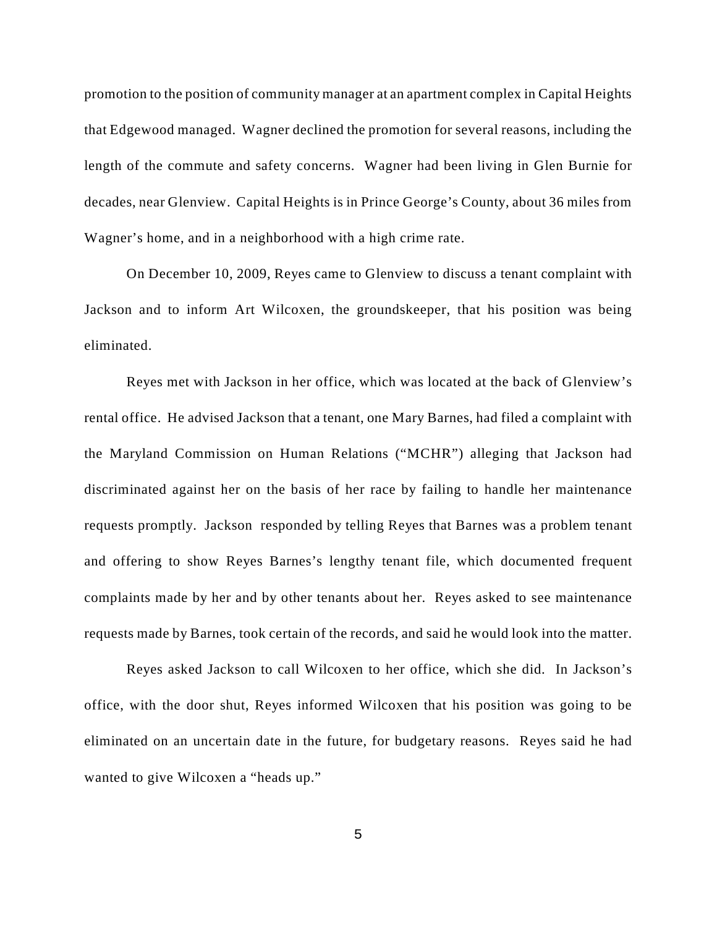promotion to the position of community manager at an apartment complex in Capital Heights that Edgewood managed. Wagner declined the promotion for several reasons, including the length of the commute and safety concerns. Wagner had been living in Glen Burnie for decades, near Glenview. Capital Heights is in Prince George's County, about 36 miles from Wagner's home, and in a neighborhood with a high crime rate.

On December 10, 2009, Reyes came to Glenview to discuss a tenant complaint with Jackson and to inform Art Wilcoxen, the groundskeeper, that his position was being eliminated.

Reyes met with Jackson in her office, which was located at the back of Glenview's rental office. He advised Jackson that a tenant, one Mary Barnes, had filed a complaint with the Maryland Commission on Human Relations ("MCHR") alleging that Jackson had discriminated against her on the basis of her race by failing to handle her maintenance requests promptly. Jackson responded by telling Reyes that Barnes was a problem tenant and offering to show Reyes Barnes's lengthy tenant file, which documented frequent complaints made by her and by other tenants about her. Reyes asked to see maintenance requests made by Barnes, took certain of the records, and said he would look into the matter.

Reyes asked Jackson to call Wilcoxen to her office, which she did. In Jackson's office, with the door shut, Reyes informed Wilcoxen that his position was going to be eliminated on an uncertain date in the future, for budgetary reasons. Reyes said he had wanted to give Wilcoxen a "heads up."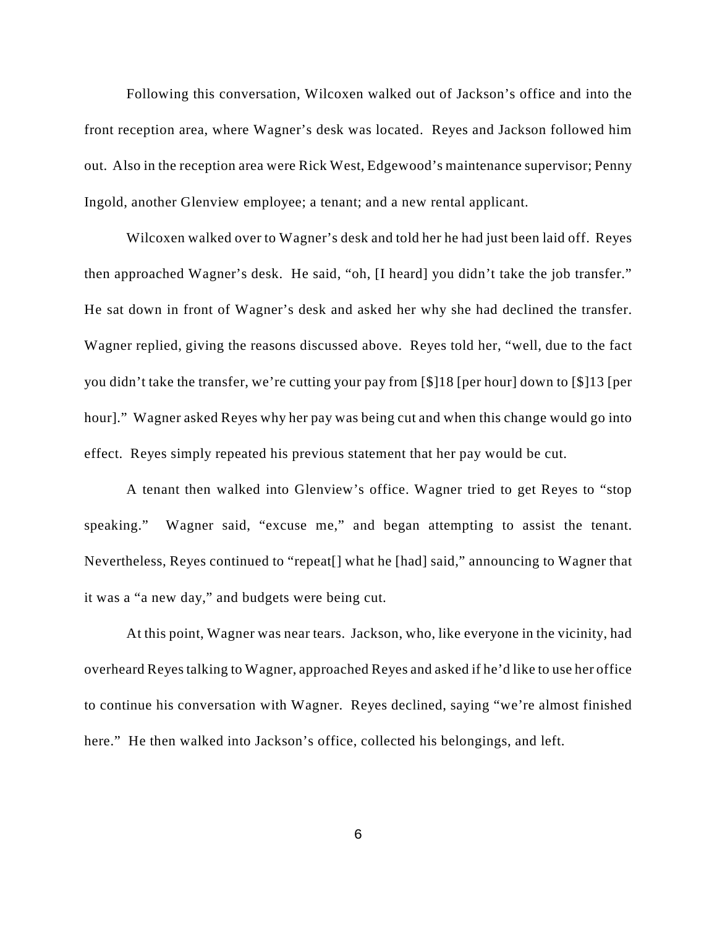Following this conversation, Wilcoxen walked out of Jackson's office and into the front reception area, where Wagner's desk was located. Reyes and Jackson followed him out. Also in the reception area were Rick West, Edgewood's maintenance supervisor; Penny Ingold, another Glenview employee; a tenant; and a new rental applicant.

Wilcoxen walked over to Wagner's desk and told her he had just been laid off. Reyes then approached Wagner's desk. He said, "oh, [I heard] you didn't take the job transfer." He sat down in front of Wagner's desk and asked her why she had declined the transfer. Wagner replied, giving the reasons discussed above. Reyes told her, "well, due to the fact you didn't take the transfer, we're cutting your pay from [\$]18 [per hour] down to [\$]13 [per hour]." Wagner asked Reyes why her pay was being cut and when this change would go into effect. Reyes simply repeated his previous statement that her pay would be cut.

A tenant then walked into Glenview's office. Wagner tried to get Reyes to "stop speaking." Wagner said, "excuse me," and began attempting to assist the tenant. Nevertheless, Reyes continued to "repeat[] what he [had] said," announcing to Wagner that it was a "a new day," and budgets were being cut.

At this point, Wagner was near tears. Jackson, who, like everyone in the vicinity, had overheard Reyes talking to Wagner, approached Reyes and asked if he'd like to use her office to continue his conversation with Wagner. Reyes declined, saying "we're almost finished here." He then walked into Jackson's office, collected his belongings, and left.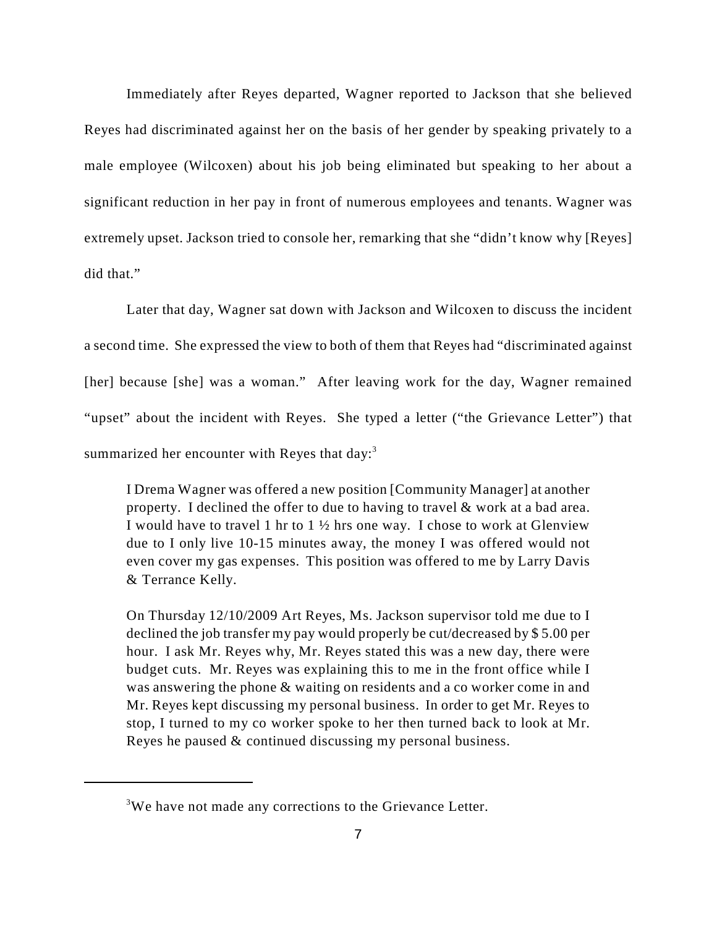Immediately after Reyes departed, Wagner reported to Jackson that she believed Reyes had discriminated against her on the basis of her gender by speaking privately to a male employee (Wilcoxen) about his job being eliminated but speaking to her about a significant reduction in her pay in front of numerous employees and tenants. Wagner was extremely upset. Jackson tried to console her, remarking that she "didn't know why [Reyes] did that."

Later that day, Wagner sat down with Jackson and Wilcoxen to discuss the incident a second time. She expressed the view to both of them that Reyes had "discriminated against [her] because [she] was a woman." After leaving work for the day, Wagner remained "upset" about the incident with Reyes. She typed a letter ("the Grievance Letter") that summarized her encounter with Reyes that day:<sup>3</sup>

I Drema Wagner was offered a new position [Community Manager] at another property. I declined the offer to due to having to travel & work at a bad area. I would have to travel 1 hr to 1 ½ hrs one way. I chose to work at Glenview due to I only live 10-15 minutes away, the money I was offered would not even cover my gas expenses. This position was offered to me by Larry Davis & Terrance Kelly.

On Thursday 12/10/2009 Art Reyes, Ms. Jackson supervisor told me due to I declined the job transfer my pay would properly be cut/decreased by \$ 5.00 per hour. I ask Mr. Reyes why, Mr. Reyes stated this was a new day, there were budget cuts. Mr. Reyes was explaining this to me in the front office while I was answering the phone & waiting on residents and a co worker come in and Mr. Reyes kept discussing my personal business. In order to get Mr. Reyes to stop, I turned to my co worker spoke to her then turned back to look at Mr. Reyes he paused & continued discussing my personal business.

<sup>&</sup>lt;sup>3</sup>We have not made any corrections to the Grievance Letter.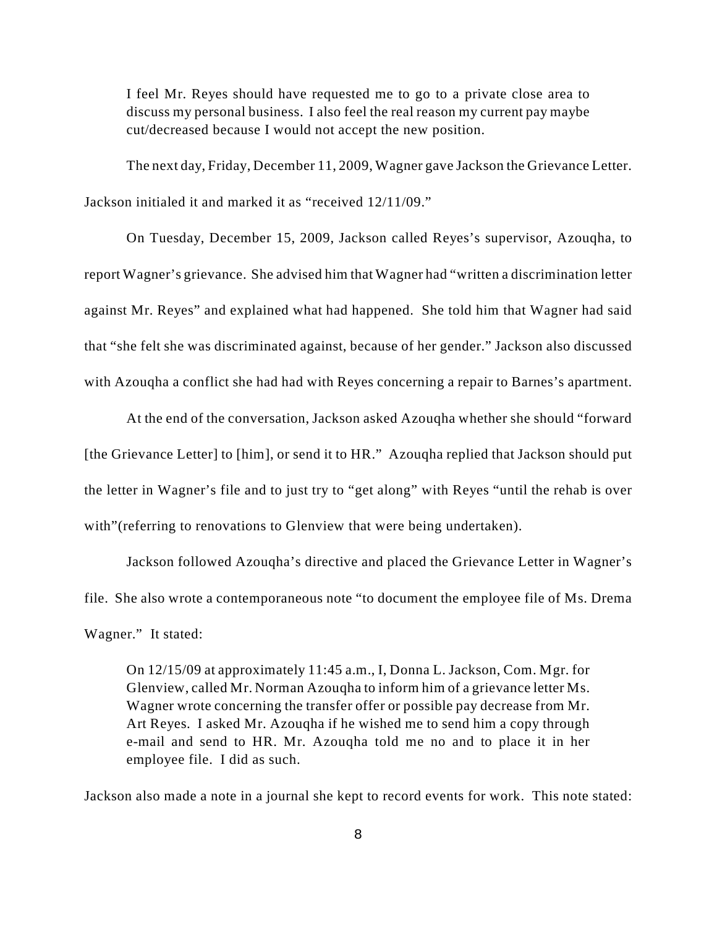I feel Mr. Reyes should have requested me to go to a private close area to discuss my personal business. I also feel the real reason my current pay maybe cut/decreased because I would not accept the new position.

The next day, Friday, December 11, 2009, Wagner gave Jackson the Grievance Letter. Jackson initialed it and marked it as "received 12/11/09."

On Tuesday, December 15, 2009, Jackson called Reyes's supervisor, Azouqha, to report Wagner's grievance. She advised him that Wagner had "written a discrimination letter against Mr. Reyes" and explained what had happened. She told him that Wagner had said that "she felt she was discriminated against, because of her gender." Jackson also discussed with Azouqha a conflict she had had with Reyes concerning a repair to Barnes's apartment.

At the end of the conversation, Jackson asked Azouqha whether she should "forward [the Grievance Letter] to [him], or send it to HR." Azouqha replied that Jackson should put the letter in Wagner's file and to just try to "get along" with Reyes "until the rehab is over with" (referring to renovations to Glenview that were being undertaken).

Jackson followed Azouqha's directive and placed the Grievance Letter in Wagner's file. She also wrote a contemporaneous note "to document the employee file of Ms. Drema Wagner." It stated:

On 12/15/09 at approximately 11:45 a.m., I, Donna L. Jackson, Com. Mgr. for Glenview, called Mr. Norman Azouqha to inform him of a grievance letter Ms. Wagner wrote concerning the transfer offer or possible pay decrease from Mr. Art Reyes. I asked Mr. Azouqha if he wished me to send him a copy through e-mail and send to HR. Mr. Azouqha told me no and to place it in her employee file. I did as such.

Jackson also made a note in a journal she kept to record events for work. This note stated: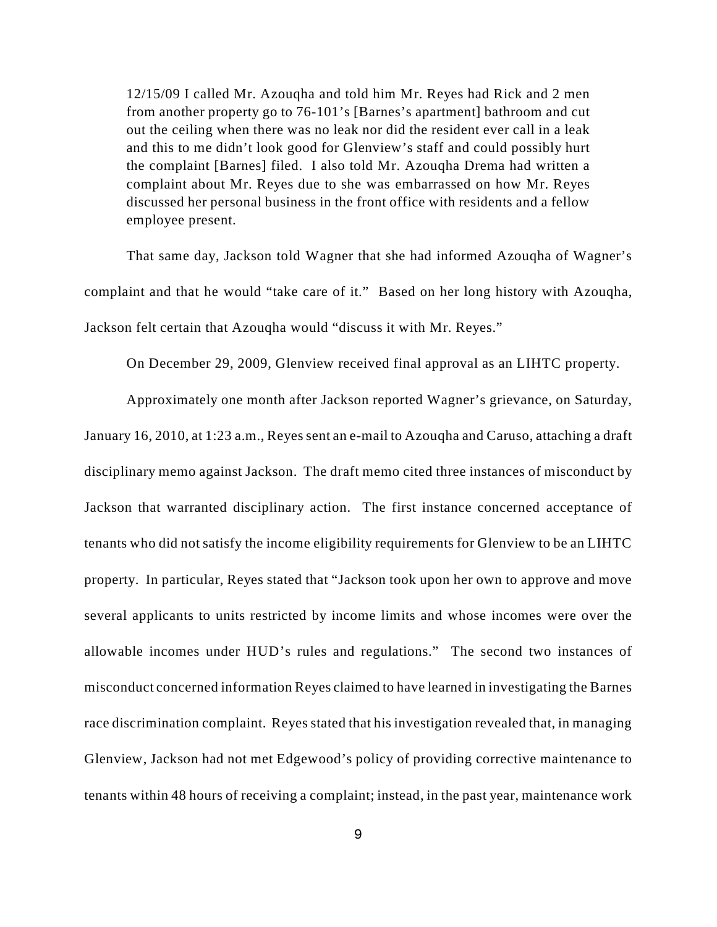12/15/09 I called Mr. Azouqha and told him Mr. Reyes had Rick and 2 men from another property go to 76-101's [Barnes's apartment] bathroom and cut out the ceiling when there was no leak nor did the resident ever call in a leak and this to me didn't look good for Glenview's staff and could possibly hurt the complaint [Barnes] filed. I also told Mr. Azouqha Drema had written a complaint about Mr. Reyes due to she was embarrassed on how Mr. Reyes discussed her personal business in the front office with residents and a fellow employee present.

That same day, Jackson told Wagner that she had informed Azouqha of Wagner's complaint and that he would "take care of it." Based on her long history with Azouqha, Jackson felt certain that Azouqha would "discuss it with Mr. Reyes."

On December 29, 2009, Glenview received final approval as an LIHTC property.

Approximately one month after Jackson reported Wagner's grievance, on Saturday, January 16, 2010, at 1:23 a.m., Reyes sent an e-mail to Azouqha and Caruso, attaching a draft disciplinary memo against Jackson. The draft memo cited three instances of misconduct by Jackson that warranted disciplinary action. The first instance concerned acceptance of tenants who did not satisfy the income eligibility requirements for Glenview to be an LIHTC property. In particular, Reyes stated that "Jackson took upon her own to approve and move several applicants to units restricted by income limits and whose incomes were over the allowable incomes under HUD's rules and regulations." The second two instances of misconduct concerned information Reyes claimed to have learned in investigating the Barnes race discrimination complaint. Reyes stated that his investigation revealed that, in managing Glenview, Jackson had not met Edgewood's policy of providing corrective maintenance to tenants within 48 hours of receiving a complaint; instead, in the past year, maintenance work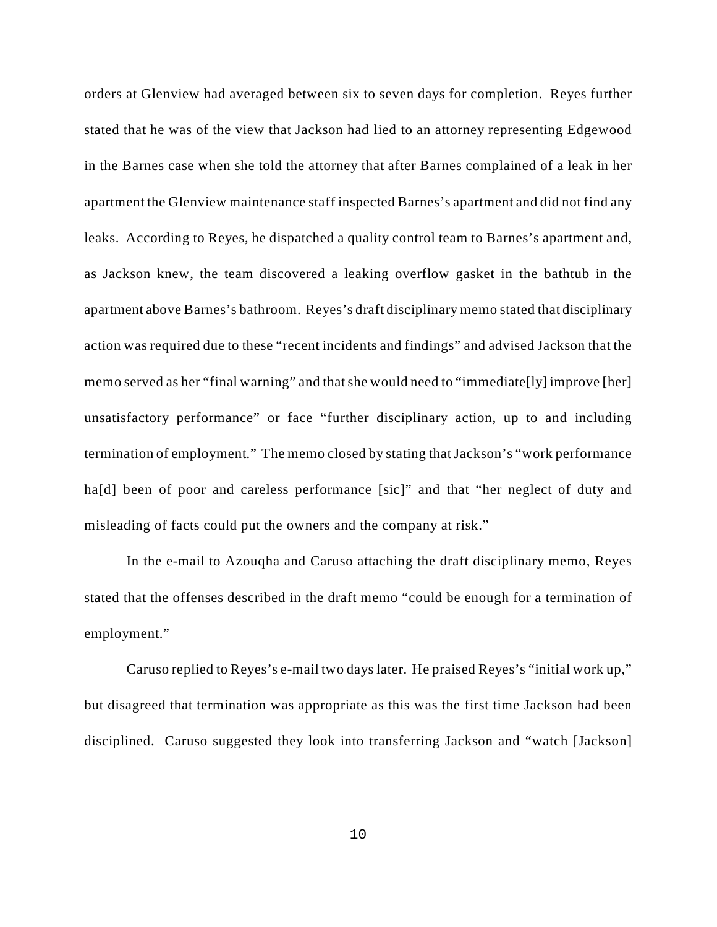orders at Glenview had averaged between six to seven days for completion. Reyes further stated that he was of the view that Jackson had lied to an attorney representing Edgewood in the Barnes case when she told the attorney that after Barnes complained of a leak in her apartment the Glenview maintenance staff inspected Barnes's apartment and did not find any leaks. According to Reyes, he dispatched a quality control team to Barnes's apartment and, as Jackson knew, the team discovered a leaking overflow gasket in the bathtub in the apartment above Barnes's bathroom. Reyes's draft disciplinary memo stated that disciplinary action was required due to these "recent incidents and findings" and advised Jackson that the memo served as her "final warning" and that she would need to "immediate[ly] improve [her] unsatisfactory performance" or face "further disciplinary action, up to and including termination of employment." The memo closed by stating that Jackson's "work performance ha<sup>[d]</sup> been of poor and careless performance [sic]" and that "her neglect of duty and misleading of facts could put the owners and the company at risk."

In the e-mail to Azouqha and Caruso attaching the draft disciplinary memo, Reyes stated that the offenses described in the draft memo "could be enough for a termination of employment."

Caruso replied to Reyes's e-mail two days later. He praised Reyes's "initial work up," but disagreed that termination was appropriate as this was the first time Jackson had been disciplined. Caruso suggested they look into transferring Jackson and "watch [Jackson]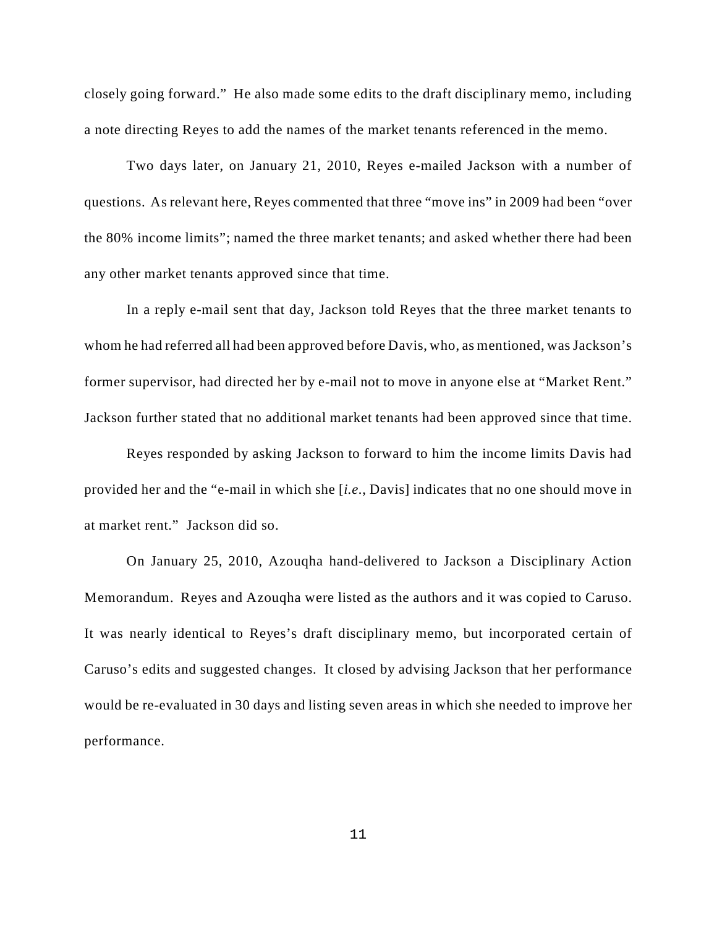closely going forward." He also made some edits to the draft disciplinary memo, including a note directing Reyes to add the names of the market tenants referenced in the memo.

Two days later, on January 21, 2010, Reyes e-mailed Jackson with a number of questions. As relevant here, Reyes commented that three "move ins" in 2009 had been "over the 80% income limits"; named the three market tenants; and asked whether there had been any other market tenants approved since that time.

In a reply e-mail sent that day, Jackson told Reyes that the three market tenants to whom he had referred all had been approved before Davis, who, as mentioned, was Jackson's former supervisor, had directed her by e-mail not to move in anyone else at "Market Rent." Jackson further stated that no additional market tenants had been approved since that time.

Reyes responded by asking Jackson to forward to him the income limits Davis had provided her and the "e-mail in which she [*i.e.*, Davis] indicates that no one should move in at market rent." Jackson did so.

On January 25, 2010, Azouqha hand-delivered to Jackson a Disciplinary Action Memorandum. Reyes and Azouqha were listed as the authors and it was copied to Caruso. It was nearly identical to Reyes's draft disciplinary memo, but incorporated certain of Caruso's edits and suggested changes. It closed by advising Jackson that her performance would be re-evaluated in 30 days and listing seven areas in which she needed to improve her performance.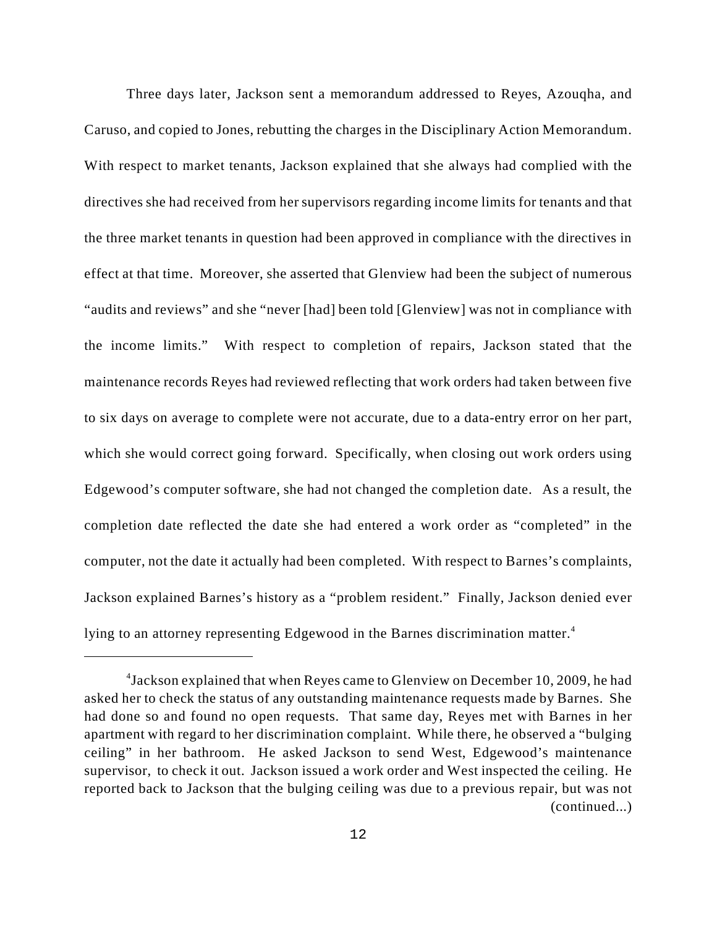Three days later, Jackson sent a memorandum addressed to Reyes, Azouqha, and Caruso, and copied to Jones, rebutting the charges in the Disciplinary Action Memorandum. With respect to market tenants, Jackson explained that she always had complied with the directives she had received from her supervisors regarding income limits for tenants and that the three market tenants in question had been approved in compliance with the directives in effect at that time. Moreover, she asserted that Glenview had been the subject of numerous "audits and reviews" and she "never [had] been told [Glenview] was not in compliance with the income limits." With respect to completion of repairs, Jackson stated that the maintenance records Reyes had reviewed reflecting that work orders had taken between five to six days on average to complete were not accurate, due to a data-entry error on her part, which she would correct going forward. Specifically, when closing out work orders using Edgewood's computer software, she had not changed the completion date. As a result, the completion date reflected the date she had entered a work order as "completed" in the computer, not the date it actually had been completed. With respect to Barnes's complaints, Jackson explained Barnes's history as a "problem resident." Finally, Jackson denied ever lying to an attorney representing Edgewood in the Barnes discrimination matter.<sup>4</sup>

<sup>&</sup>lt;sup>4</sup> Jackson explained that when Reyes came to Glenview on December 10, 2009, he had asked her to check the status of any outstanding maintenance requests made by Barnes. She had done so and found no open requests. That same day, Reyes met with Barnes in her apartment with regard to her discrimination complaint. While there, he observed a "bulging ceiling" in her bathroom. He asked Jackson to send West, Edgewood's maintenance supervisor, to check it out. Jackson issued a work order and West inspected the ceiling. He reported back to Jackson that the bulging ceiling was due to a previous repair, but was not (continued...)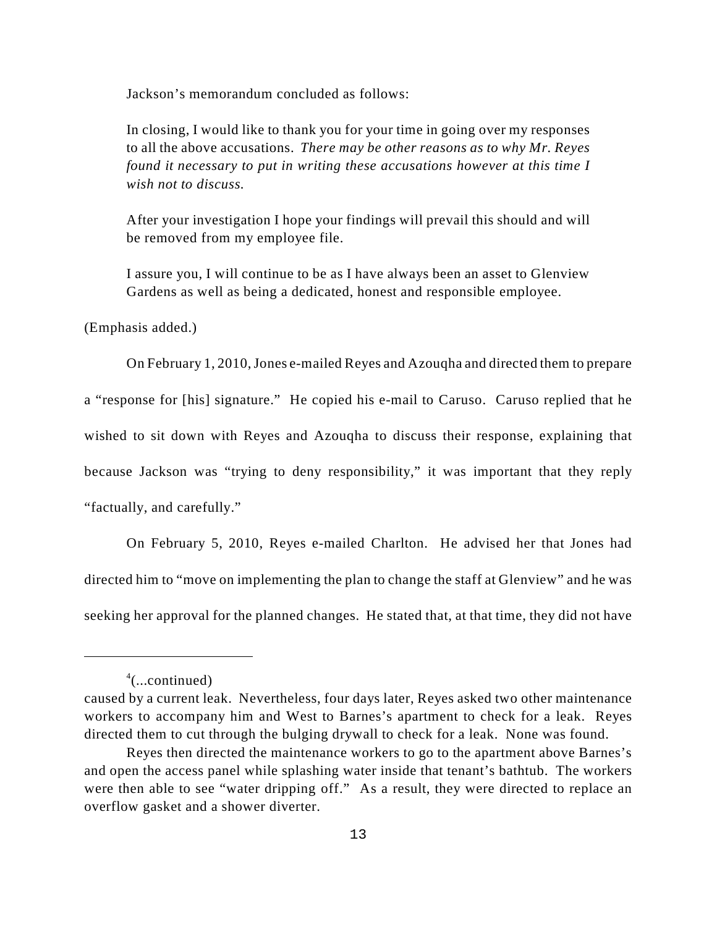Jackson's memorandum concluded as follows:

In closing, I would like to thank you for your time in going over my responses to all the above accusations. *There may be other reasons as to why Mr. Reyes found it necessary to put in writing these accusations however at this time I wish not to discuss.* 

After your investigation I hope your findings will prevail this should and will be removed from my employee file.

I assure you, I will continue to be as I have always been an asset to Glenview Gardens as well as being a dedicated, honest and responsible employee.

(Emphasis added.)

On February 1, 2010, Jones e-mailed Reyes and Azouqha and directed them to prepare a "response for [his] signature." He copied his e-mail to Caruso. Caruso replied that he wished to sit down with Reyes and Azouqha to discuss their response, explaining that because Jackson was "trying to deny responsibility," it was important that they reply "factually, and carefully."

On February 5, 2010, Reyes e-mailed Charlton. He advised her that Jones had directed him to "move on implementing the plan to change the staff at Glenview" and he was seeking her approval for the planned changes. He stated that, at that time, they did not have

 $4$ (...continued)

caused by a current leak. Nevertheless, four days later, Reyes asked two other maintenance workers to accompany him and West to Barnes's apartment to check for a leak. Reyes directed them to cut through the bulging drywall to check for a leak. None was found.

Reyes then directed the maintenance workers to go to the apartment above Barnes's and open the access panel while splashing water inside that tenant's bathtub. The workers were then able to see "water dripping off." As a result, they were directed to replace an overflow gasket and a shower diverter.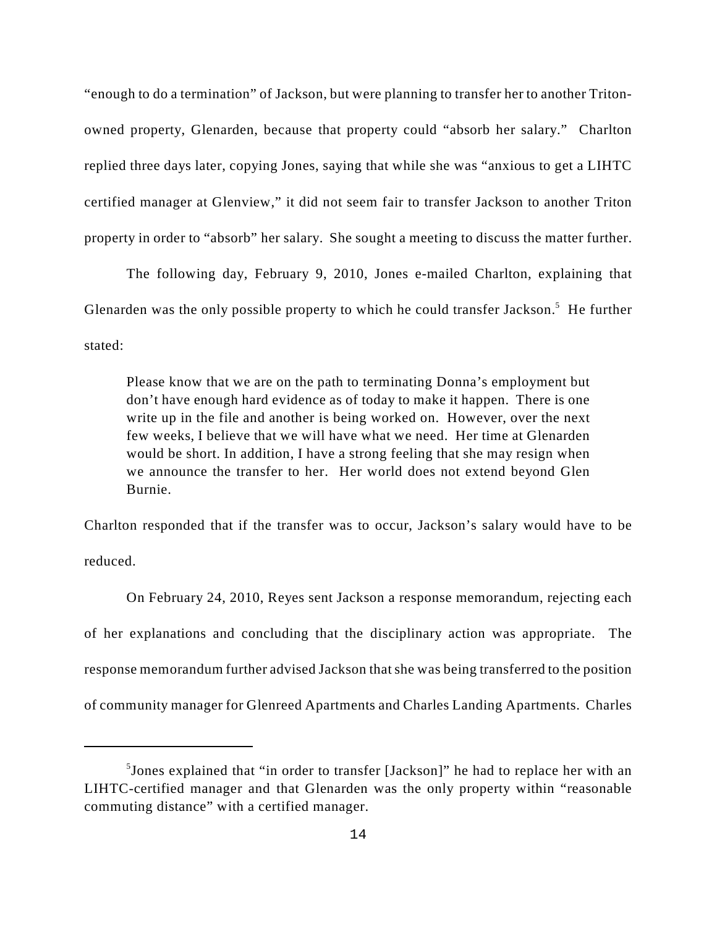"enough to do a termination" of Jackson, but were planning to transfer her to another Tritonowned property, Glenarden, because that property could "absorb her salary." Charlton replied three days later, copying Jones, saying that while she was "anxious to get a LIHTC certified manager at Glenview," it did not seem fair to transfer Jackson to another Triton property in order to "absorb" her salary. She sought a meeting to discuss the matter further.

The following day, February 9, 2010, Jones e-mailed Charlton, explaining that Glenarden was the only possible property to which he could transfer Jackson.<sup>5</sup> He further stated:

Please know that we are on the path to terminating Donna's employment but don't have enough hard evidence as of today to make it happen. There is one write up in the file and another is being worked on. However, over the next few weeks, I believe that we will have what we need. Her time at Glenarden would be short. In addition, I have a strong feeling that she may resign when we announce the transfer to her. Her world does not extend beyond Glen Burnie.

Charlton responded that if the transfer was to occur, Jackson's salary would have to be reduced.

On February 24, 2010, Reyes sent Jackson a response memorandum, rejecting each of her explanations and concluding that the disciplinary action was appropriate. The response memorandum further advised Jackson that she was being transferred to the position of community manager for Glenreed Apartments and Charles Landing Apartments. Charles

 $5$ Jones explained that "in order to transfer [Jackson]" he had to replace her with an LIHTC-certified manager and that Glenarden was the only property within "reasonable commuting distance" with a certified manager.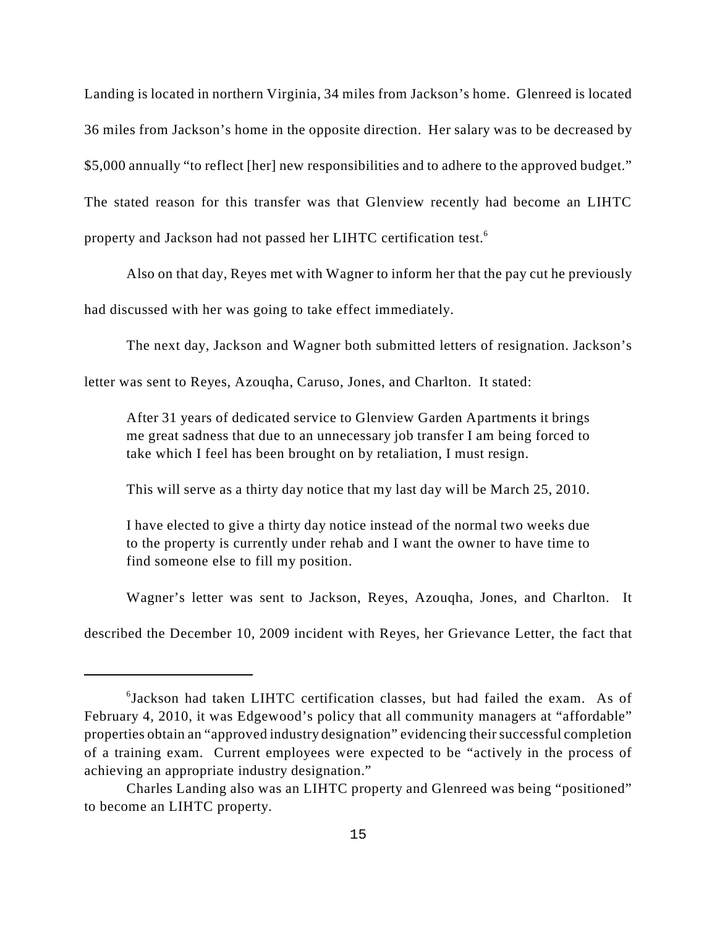Landing is located in northern Virginia, 34 miles from Jackson's home. Glenreed is located 36 miles from Jackson's home in the opposite direction. Her salary was to be decreased by \$5,000 annually "to reflect [her] new responsibilities and to adhere to the approved budget." The stated reason for this transfer was that Glenview recently had become an LIHTC property and Jackson had not passed her LIHTC certification test.<sup>6</sup>

Also on that day, Reyes met with Wagner to inform her that the pay cut he previously

had discussed with her was going to take effect immediately.

The next day, Jackson and Wagner both submitted letters of resignation. Jackson's

letter was sent to Reyes, Azouqha, Caruso, Jones, and Charlton. It stated:

After 31 years of dedicated service to Glenview Garden Apartments it brings me great sadness that due to an unnecessary job transfer I am being forced to take which I feel has been brought on by retaliation, I must resign.

This will serve as a thirty day notice that my last day will be March 25, 2010.

I have elected to give a thirty day notice instead of the normal two weeks due to the property is currently under rehab and I want the owner to have time to find someone else to fill my position.

Wagner's letter was sent to Jackson, Reyes, Azouqha, Jones, and Charlton. It

described the December 10, 2009 incident with Reyes, her Grievance Letter, the fact that

 $6$ Jackson had taken LIHTC certification classes, but had failed the exam. As of February 4, 2010, it was Edgewood's policy that all community managers at "affordable" properties obtain an "approved industry designation" evidencing their successful completion of a training exam. Current employees were expected to be "actively in the process of achieving an appropriate industry designation."

Charles Landing also was an LIHTC property and Glenreed was being "positioned" to become an LIHTC property.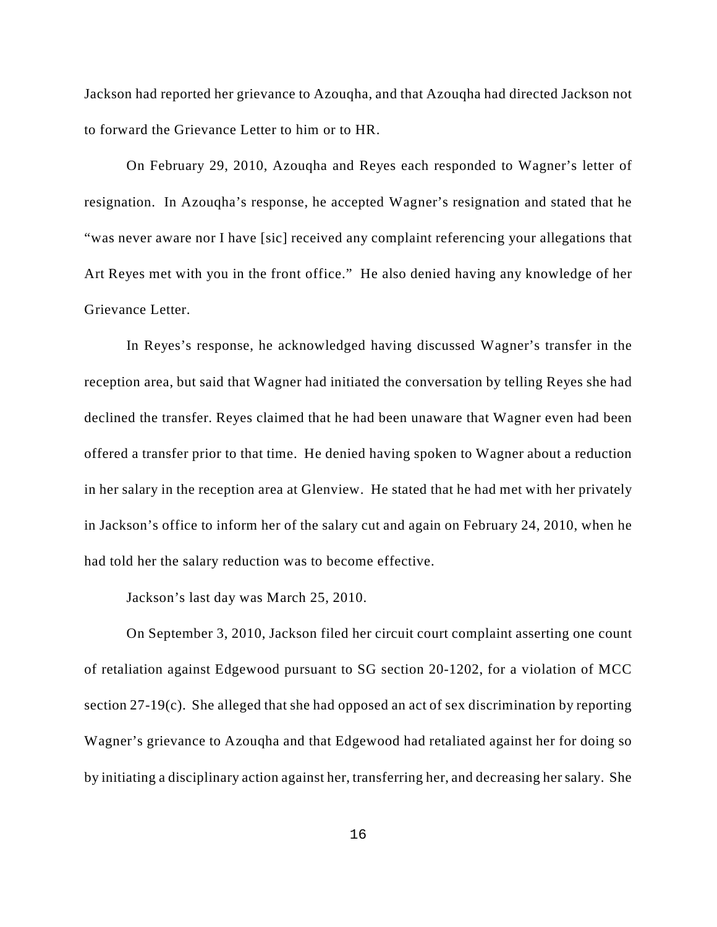Jackson had reported her grievance to Azouqha, and that Azouqha had directed Jackson not to forward the Grievance Letter to him or to HR.

On February 29, 2010, Azouqha and Reyes each responded to Wagner's letter of resignation. In Azouqha's response, he accepted Wagner's resignation and stated that he "was never aware nor I have [sic] received any complaint referencing your allegations that Art Reyes met with you in the front office." He also denied having any knowledge of her Grievance Letter.

In Reyes's response, he acknowledged having discussed Wagner's transfer in the reception area, but said that Wagner had initiated the conversation by telling Reyes she had declined the transfer. Reyes claimed that he had been unaware that Wagner even had been offered a transfer prior to that time. He denied having spoken to Wagner about a reduction in her salary in the reception area at Glenview. He stated that he had met with her privately in Jackson's office to inform her of the salary cut and again on February 24, 2010, when he had told her the salary reduction was to become effective.

Jackson's last day was March 25, 2010.

On September 3, 2010, Jackson filed her circuit court complaint asserting one count of retaliation against Edgewood pursuant to SG section 20-1202, for a violation of MCC section 27-19(c). She alleged that she had opposed an act of sex discrimination by reporting Wagner's grievance to Azouqha and that Edgewood had retaliated against her for doing so by initiating a disciplinary action against her, transferring her, and decreasing her salary. She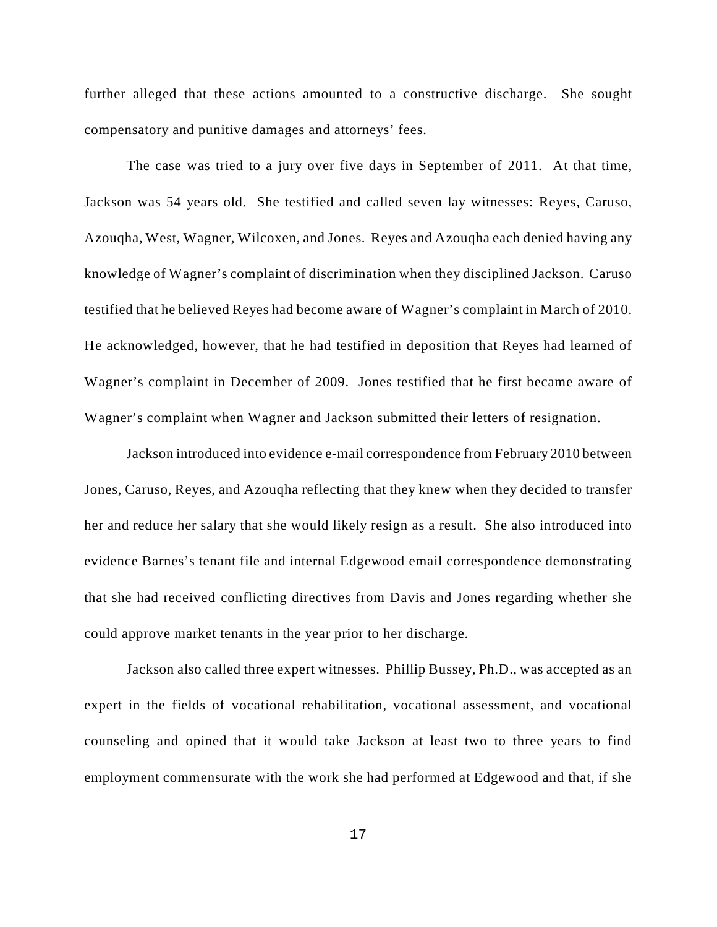further alleged that these actions amounted to a constructive discharge. She sought compensatory and punitive damages and attorneys' fees.

The case was tried to a jury over five days in September of 2011. At that time, Jackson was 54 years old. She testified and called seven lay witnesses: Reyes, Caruso, Azouqha, West, Wagner, Wilcoxen, and Jones. Reyes and Azouqha each denied having any knowledge of Wagner's complaint of discrimination when they disciplined Jackson. Caruso testified that he believed Reyes had become aware of Wagner's complaint in March of 2010. He acknowledged, however, that he had testified in deposition that Reyes had learned of Wagner's complaint in December of 2009. Jones testified that he first became aware of Wagner's complaint when Wagner and Jackson submitted their letters of resignation.

Jackson introduced into evidence e-mail correspondence from February 2010 between Jones, Caruso, Reyes, and Azouqha reflecting that they knew when they decided to transfer her and reduce her salary that she would likely resign as a result. She also introduced into evidence Barnes's tenant file and internal Edgewood email correspondence demonstrating that she had received conflicting directives from Davis and Jones regarding whether she could approve market tenants in the year prior to her discharge.

Jackson also called three expert witnesses. Phillip Bussey, Ph.D., was accepted as an expert in the fields of vocational rehabilitation, vocational assessment, and vocational counseling and opined that it would take Jackson at least two to three years to find employment commensurate with the work she had performed at Edgewood and that, if she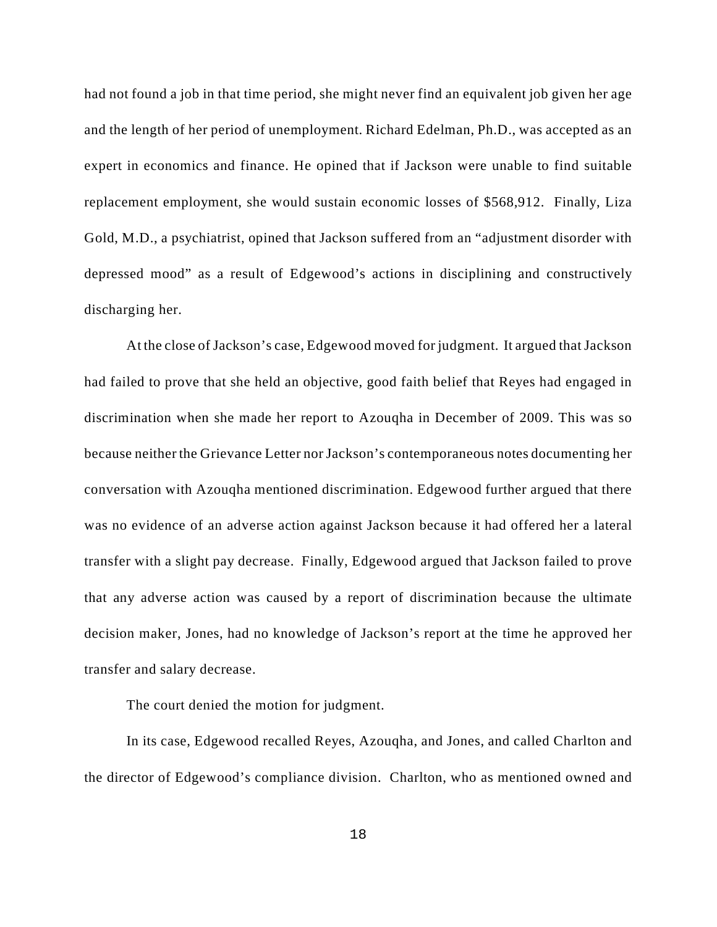had not found a job in that time period, she might never find an equivalent job given her age and the length of her period of unemployment. Richard Edelman, Ph.D., was accepted as an expert in economics and finance. He opined that if Jackson were unable to find suitable replacement employment, she would sustain economic losses of \$568,912. Finally, Liza Gold, M.D., a psychiatrist, opined that Jackson suffered from an "adjustment disorder with depressed mood" as a result of Edgewood's actions in disciplining and constructively discharging her.

At the close of Jackson's case, Edgewood moved for judgment. It argued that Jackson had failed to prove that she held an objective, good faith belief that Reyes had engaged in discrimination when she made her report to Azouqha in December of 2009. This was so because neither the Grievance Letter nor Jackson's contemporaneous notes documenting her conversation with Azouqha mentioned discrimination. Edgewood further argued that there was no evidence of an adverse action against Jackson because it had offered her a lateral transfer with a slight pay decrease. Finally, Edgewood argued that Jackson failed to prove that any adverse action was caused by a report of discrimination because the ultimate decision maker, Jones, had no knowledge of Jackson's report at the time he approved her transfer and salary decrease.

The court denied the motion for judgment.

In its case, Edgewood recalled Reyes, Azouqha, and Jones, and called Charlton and the director of Edgewood's compliance division. Charlton, who as mentioned owned and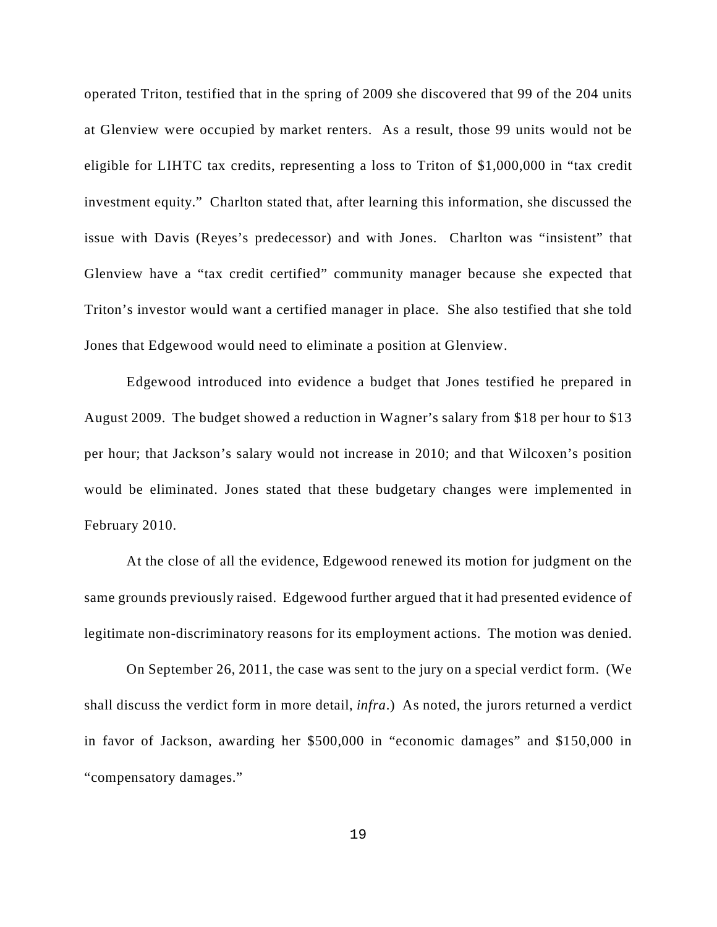operated Triton, testified that in the spring of 2009 she discovered that 99 of the 204 units at Glenview were occupied by market renters. As a result, those 99 units would not be eligible for LIHTC tax credits, representing a loss to Triton of \$1,000,000 in "tax credit investment equity." Charlton stated that, after learning this information, she discussed the issue with Davis (Reyes's predecessor) and with Jones. Charlton was "insistent" that Glenview have a "tax credit certified" community manager because she expected that Triton's investor would want a certified manager in place. She also testified that she told Jones that Edgewood would need to eliminate a position at Glenview.

Edgewood introduced into evidence a budget that Jones testified he prepared in August 2009. The budget showed a reduction in Wagner's salary from \$18 per hour to \$13 per hour; that Jackson's salary would not increase in 2010; and that Wilcoxen's position would be eliminated. Jones stated that these budgetary changes were implemented in February 2010.

At the close of all the evidence, Edgewood renewed its motion for judgment on the same grounds previously raised. Edgewood further argued that it had presented evidence of legitimate non-discriminatory reasons for its employment actions. The motion was denied.

On September 26, 2011, the case was sent to the jury on a special verdict form. (We shall discuss the verdict form in more detail, *infra*.) As noted, the jurors returned a verdict in favor of Jackson, awarding her \$500,000 in "economic damages" and \$150,000 in "compensatory damages."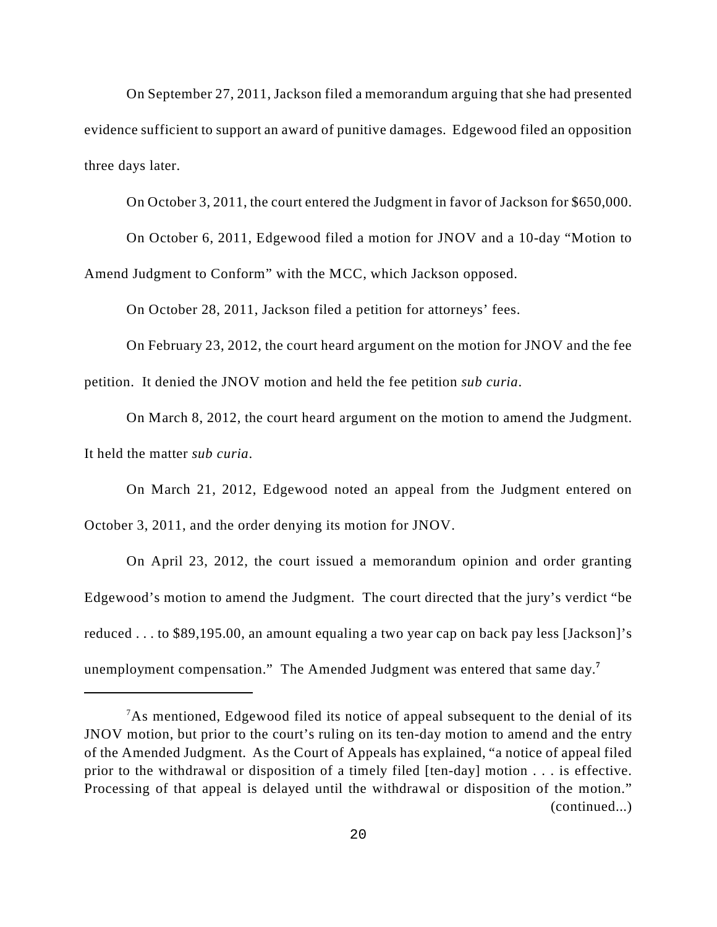On September 27, 2011, Jackson filed a memorandum arguing that she had presented evidence sufficient to support an award of punitive damages. Edgewood filed an opposition three days later.

On October 3, 2011, the court entered the Judgment in favor of Jackson for \$650,000.

On October 6, 2011, Edgewood filed a motion for JNOV and a 10-day "Motion to Amend Judgment to Conform" with the MCC, which Jackson opposed.

On October 28, 2011, Jackson filed a petition for attorneys' fees.

On February 23, 2012, the court heard argument on the motion for JNOV and the fee petition. It denied the JNOV motion and held the fee petition *sub curia*.

On March 8, 2012, the court heard argument on the motion to amend the Judgment. It held the matter *sub curia*.

On March 21, 2012, Edgewood noted an appeal from the Judgment entered on October 3, 2011, and the order denying its motion for JNOV.

On April 23, 2012, the court issued a memorandum opinion and order granting Edgewood's motion to amend the Judgment. The court directed that the jury's verdict "be reduced . . . to \$89,195.00, an amount equaling a two year cap on back pay less [Jackson]'s unemployment compensation." The Amended Judgment was entered that same day.**7**

 $A<sup>7</sup>$ As mentioned, Edgewood filed its notice of appeal subsequent to the denial of its JNOV motion, but prior to the court's ruling on its ten-day motion to amend and the entry of the Amended Judgment. As the Court of Appeals has explained, "a notice of appeal filed prior to the withdrawal or disposition of a timely filed [ten-day] motion . . . is effective. Processing of that appeal is delayed until the withdrawal or disposition of the motion." (continued...)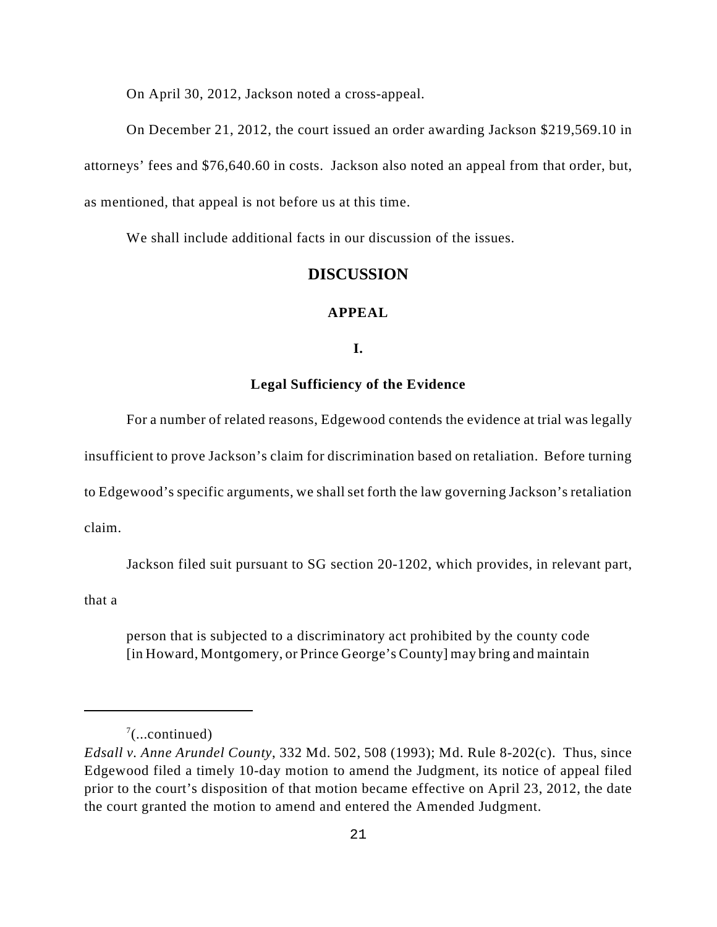On April 30, 2012, Jackson noted a cross-appeal.

On December 21, 2012, the court issued an order awarding Jackson \$219,569.10 in attorneys' fees and \$76,640.60 in costs. Jackson also noted an appeal from that order, but, as mentioned, that appeal is not before us at this time.

We shall include additional facts in our discussion of the issues.

## **DISCUSSION**

### **APPEAL**

## **I.**

### **Legal Sufficiency of the Evidence**

For a number of related reasons, Edgewood contends the evidence at trial was legally

insufficient to prove Jackson's claim for discrimination based on retaliation. Before turning

to Edgewood's specific arguments, we shall set forth the law governing Jackson's retaliation

claim.

Jackson filed suit pursuant to SG section 20-1202, which provides, in relevant part,

that a

person that is subjected to a discriminatory act prohibited by the county code [in Howard, Montgomery, or Prince George's County] may bring and maintain

 $\frac{7}{2}$ (...continued)

*Edsall v. Anne Arundel County*, 332 Md. 502, 508 (1993); Md. Rule 8-202(c). Thus, since Edgewood filed a timely 10-day motion to amend the Judgment, its notice of appeal filed prior to the court's disposition of that motion became effective on April 23, 2012, the date the court granted the motion to amend and entered the Amended Judgment.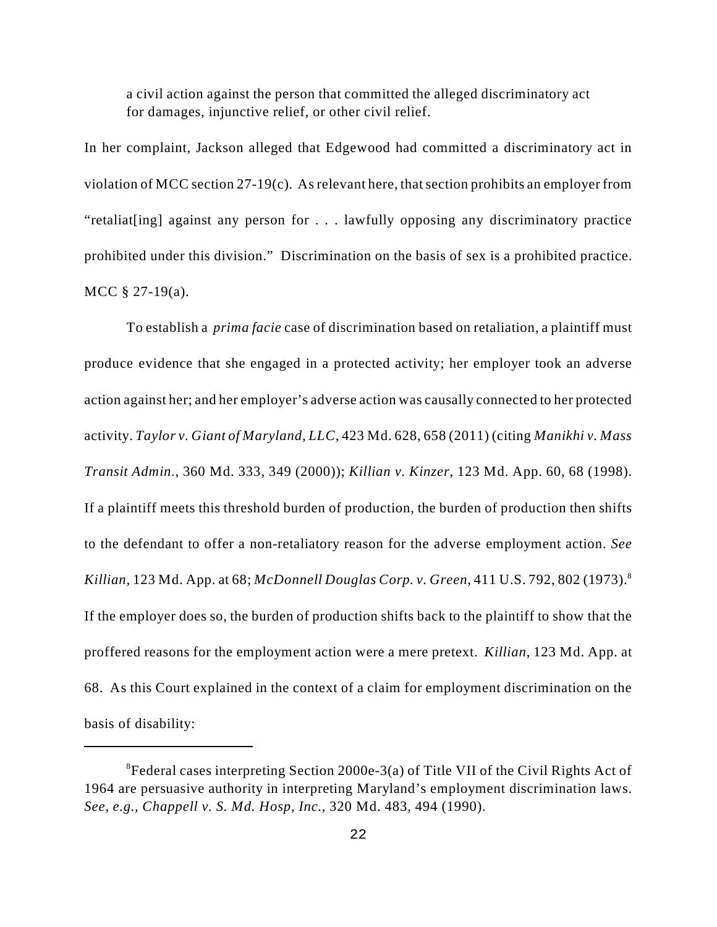a civil action against the person that committed the alleged discriminatory act for damages, injunctive relief, or other civil relief.

In her complaint, Jackson alleged that Edgewood had committed a discriminatory act in violation of MCC section 27-19(c). As relevant here, that section prohibits an employer from "retaliat[ing] against any person for . . . lawfully opposing any discriminatory practice prohibited under this division." Discrimination on the basis of sex is a prohibited practice. MCC § 27-19(a).

To establish a *prima facie* case of discrimination based on retaliation, a plaintiff must produce evidence that she engaged in a protected activity; her employer took an adverse action against her; and her employer's adverse action was causally connected to her protected activity. *Taylor v. Giant of Maryland, LLC*, 423 Md. 628, 658 (2011) (citing *Manikhi v. Mass Transit Admin.*, 360 Md. 333, 349 (2000)); *Killian v. Kinzer*, 123 Md. App. 60, 68 (1998). If a plaintiff meets this threshold burden of production, the burden of production then shifts to the defendant to offer a non-retaliatory reason for the adverse employment action. *See Killian*, 123 Md. App. at 68; *McDonnell Douglas Corp. v. Green*, 411 U.S. 792, 802 (1973).<sup>8</sup> If the employer does so, the burden of production shifts back to the plaintiff to show that the proffered reasons for the employment action were a mere pretext. *Killian*, 123 Md. App. at 68. As this Court explained in the context of a claim for employment discrimination on the basis of disability:

 ${}^{8}$ Federal cases interpreting Section 2000e-3(a) of Title VII of the Civil Rights Act of 1964 are persuasive authority in interpreting Maryland's employment discrimination laws. *See, e.g., Chappell v. S. Md. Hosp, Inc.*, 320 Md. 483, 494 (1990).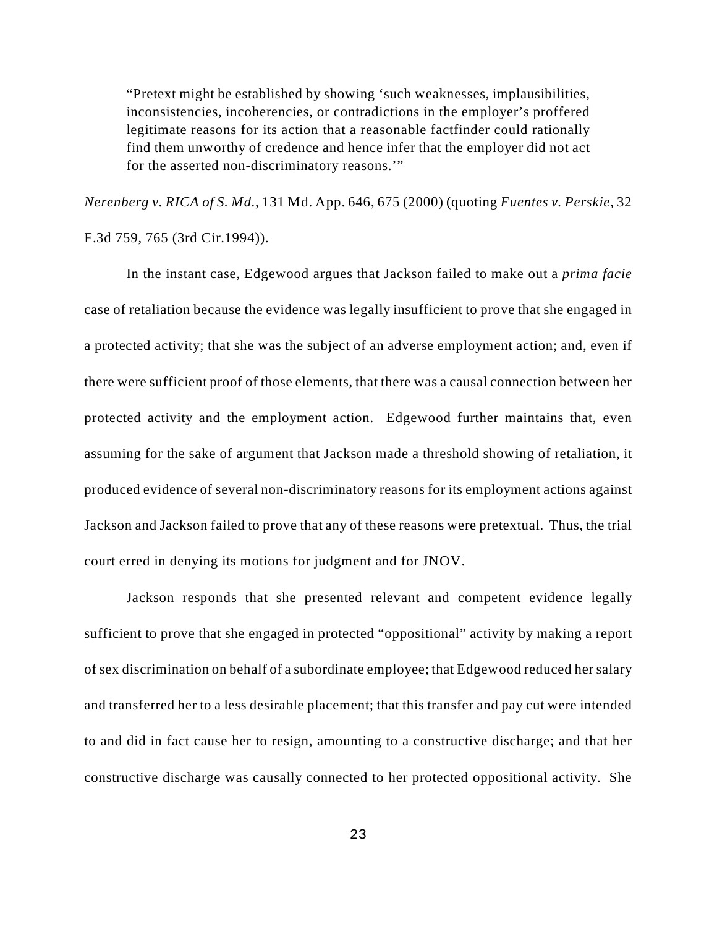"Pretext might be established by showing 'such weaknesses, implausibilities, inconsistencies, incoherencies, or contradictions in the employer's proffered legitimate reasons for its action that a reasonable factfinder could rationally find them unworthy of credence and hence infer that the employer did not act for the asserted non-discriminatory reasons.'"

*Nerenberg v. RICA of S. Md.*, 131 Md. App. 646, 675 (2000) (quoting *Fuentes v. Perskie*, 32 F.3d 759, 765 (3rd Cir.1994)).

In the instant case, Edgewood argues that Jackson failed to make out a *prima facie* case of retaliation because the evidence was legally insufficient to prove that she engaged in a protected activity; that she was the subject of an adverse employment action; and, even if there were sufficient proof of those elements, that there was a causal connection between her protected activity and the employment action. Edgewood further maintains that, even assuming for the sake of argument that Jackson made a threshold showing of retaliation, it produced evidence of several non-discriminatory reasons for its employment actions against Jackson and Jackson failed to prove that any of these reasons were pretextual. Thus, the trial court erred in denying its motions for judgment and for JNOV.

Jackson responds that she presented relevant and competent evidence legally sufficient to prove that she engaged in protected "oppositional" activity by making a report of sex discrimination on behalf of a subordinate employee; that Edgewood reduced her salary and transferred her to a less desirable placement; that this transfer and pay cut were intended to and did in fact cause her to resign, amounting to a constructive discharge; and that her constructive discharge was causally connected to her protected oppositional activity. She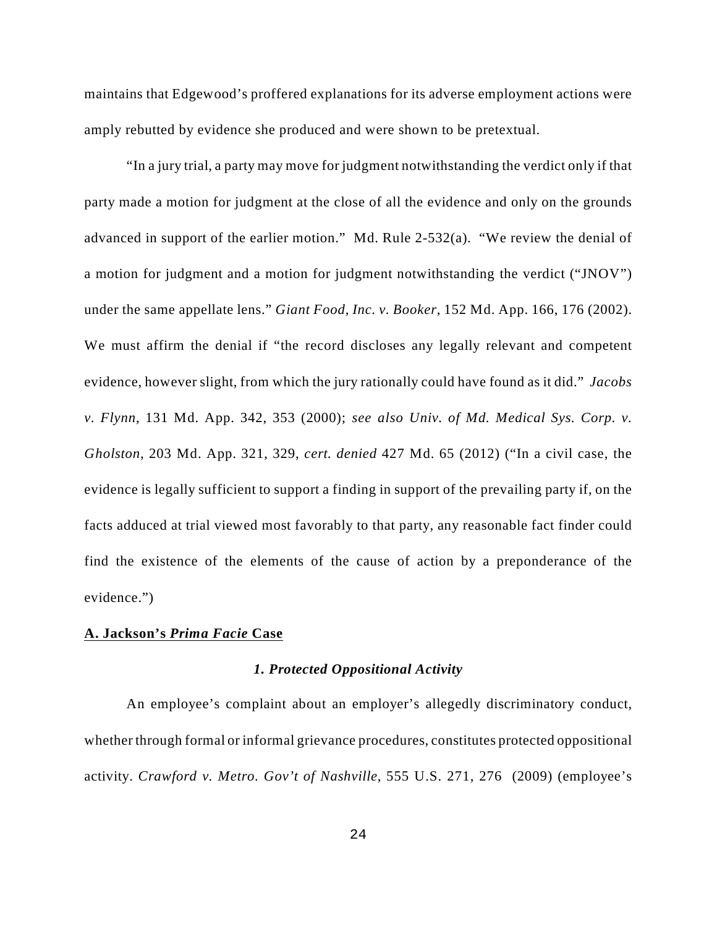maintains that Edgewood's proffered explanations for its adverse employment actions were amply rebutted by evidence she produced and were shown to be pretextual.

"In a jury trial, a party may move for judgment notwithstanding the verdict only if that party made a motion for judgment at the close of all the evidence and only on the grounds advanced in support of the earlier motion." Md. Rule 2-532(a). "We review the denial of a motion for judgment and a motion for judgment notwithstanding the verdict ("JNOV") under the same appellate lens." *Giant Food, Inc. v. Booker*, 152 Md. App. 166, 176 (2002). We must affirm the denial if "the record discloses any legally relevant and competent evidence, however slight, from which the jury rationally could have found as it did." *Jacobs v. Flynn*, 131 Md. App. 342, 353 (2000); *see also Univ. of Md. Medical Sys. Corp. v. Gholston*, 203 Md. App. 321, 329, *cert. denied* 427 Md. 65 (2012) ("In a civil case, the evidence is legally sufficient to support a finding in support of the prevailing party if, on the facts adduced at trial viewed most favorably to that party, any reasonable fact finder could find the existence of the elements of the cause of action by a preponderance of the evidence.")

### **A. Jackson's** *Prima Facie* **Case**

### *1. Protected Oppositional Activity*

An employee's complaint about an employer's allegedly discriminatory conduct, whether through formal or informal grievance procedures, constitutes protected oppositional activity. *Crawford v. Metro. Gov't of Nashville*, 555 U.S. 271, 276 (2009) (employee's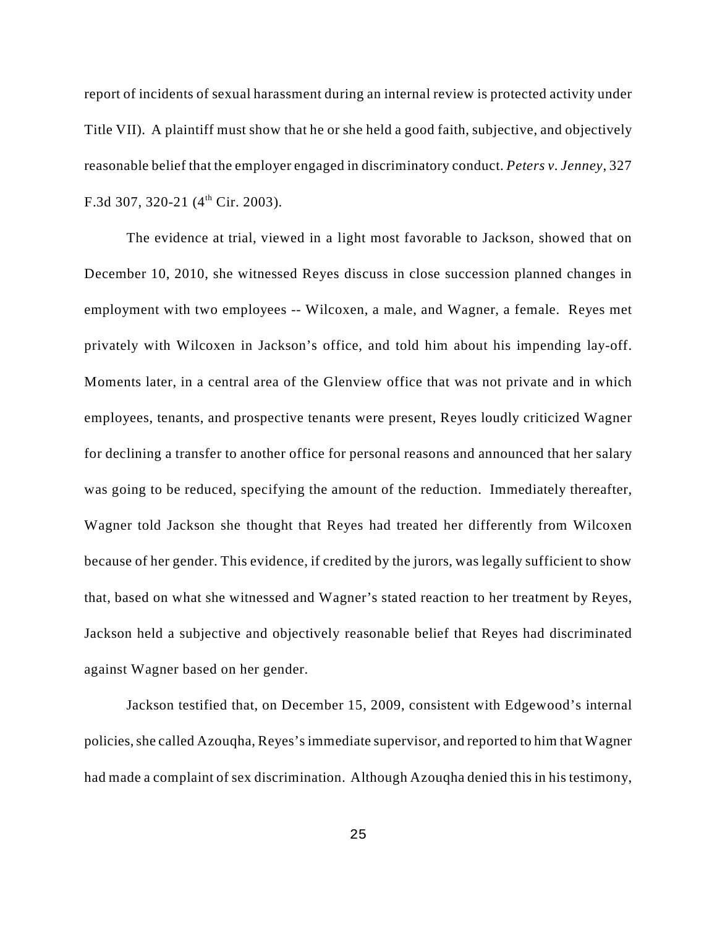report of incidents of sexual harassment during an internal review is protected activity under Title VII). A plaintiff must show that he or she held a good faith, subjective, and objectively reasonable belief that the employer engaged in discriminatory conduct. *Peters v. Jenney*, 327 F.3d 307, 320-21 ( $4<sup>th</sup>$  Cir. 2003).

The evidence at trial, viewed in a light most favorable to Jackson, showed that on December 10, 2010, she witnessed Reyes discuss in close succession planned changes in employment with two employees -- Wilcoxen, a male, and Wagner, a female. Reyes met privately with Wilcoxen in Jackson's office, and told him about his impending lay-off. Moments later, in a central area of the Glenview office that was not private and in which employees, tenants, and prospective tenants were present, Reyes loudly criticized Wagner for declining a transfer to another office for personal reasons and announced that her salary was going to be reduced, specifying the amount of the reduction. Immediately thereafter, Wagner told Jackson she thought that Reyes had treated her differently from Wilcoxen because of her gender. This evidence, if credited by the jurors, was legally sufficient to show that, based on what she witnessed and Wagner's stated reaction to her treatment by Reyes, Jackson held a subjective and objectively reasonable belief that Reyes had discriminated against Wagner based on her gender.

Jackson testified that, on December 15, 2009, consistent with Edgewood's internal policies, she called Azouqha, Reyes's immediate supervisor, and reported to him that Wagner had made a complaint of sex discrimination. Although Azouqha denied this in his testimony,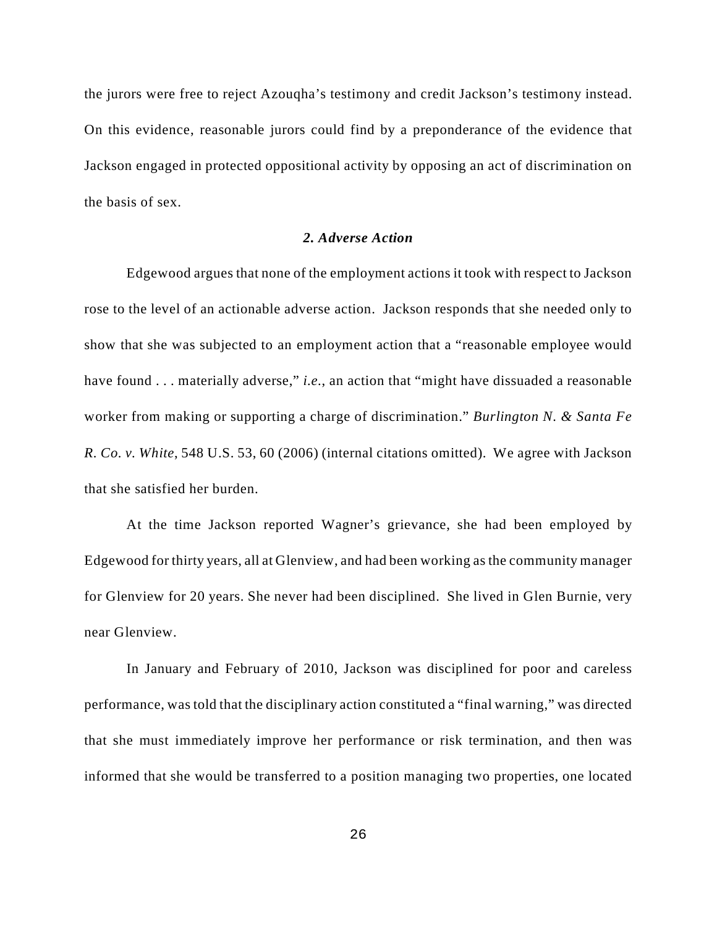the jurors were free to reject Azouqha's testimony and credit Jackson's testimony instead. On this evidence, reasonable jurors could find by a preponderance of the evidence that Jackson engaged in protected oppositional activity by opposing an act of discrimination on the basis of sex.

## *2. Adverse Action*

Edgewood argues that none of the employment actions it took with respect to Jackson rose to the level of an actionable adverse action. Jackson responds that she needed only to show that she was subjected to an employment action that a "reasonable employee would have found . . . materially adverse," *i.e.*, an action that "might have dissuaded a reasonable worker from making or supporting a charge of discrimination." *Burlington N. & Santa Fe R. Co. v. White*, 548 U.S. 53, 60 (2006) (internal citations omitted). We agree with Jackson that she satisfied her burden.

At the time Jackson reported Wagner's grievance, she had been employed by Edgewood for thirty years, all at Glenview, and had been working as the community manager for Glenview for 20 years. She never had been disciplined. She lived in Glen Burnie, very near Glenview.

In January and February of 2010, Jackson was disciplined for poor and careless performance, was told that the disciplinary action constituted a "final warning," was directed that she must immediately improve her performance or risk termination, and then was informed that she would be transferred to a position managing two properties, one located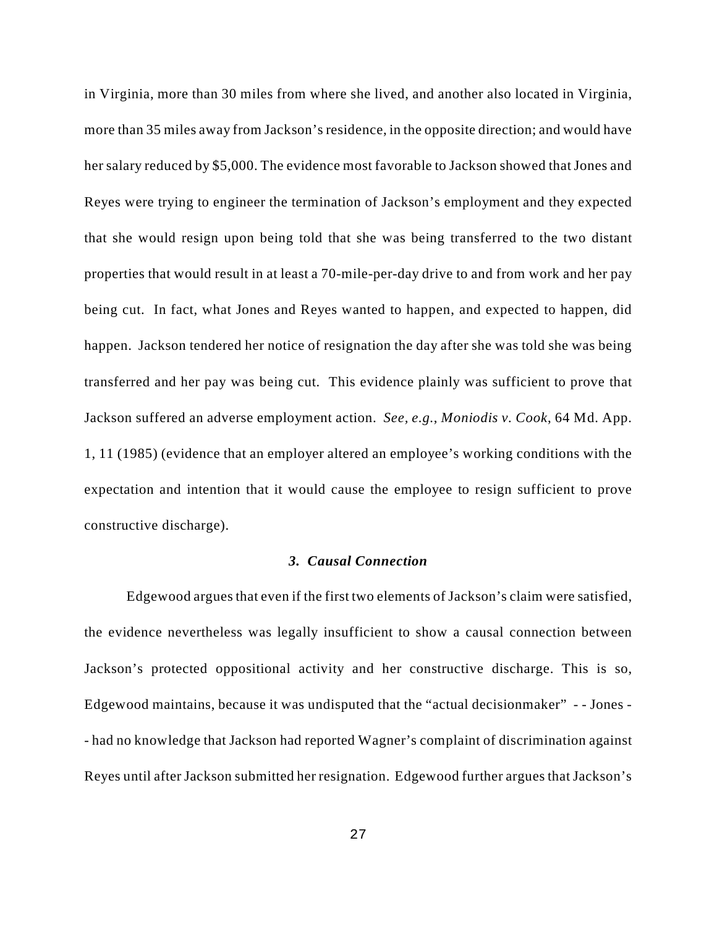in Virginia, more than 30 miles from where she lived, and another also located in Virginia, more than 35 miles away from Jackson's residence, in the opposite direction; and would have her salary reduced by \$5,000. The evidence most favorable to Jackson showed that Jones and Reyes were trying to engineer the termination of Jackson's employment and they expected that she would resign upon being told that she was being transferred to the two distant properties that would result in at least a 70-mile-per-day drive to and from work and her pay being cut. In fact, what Jones and Reyes wanted to happen, and expected to happen, did happen. Jackson tendered her notice of resignation the day after she was told she was being transferred and her pay was being cut. This evidence plainly was sufficient to prove that Jackson suffered an adverse employment action. *See, e.g.*, *Moniodis v. Cook*, 64 Md. App. 1, 11 (1985) (evidence that an employer altered an employee's working conditions with the expectation and intention that it would cause the employee to resign sufficient to prove constructive discharge).

### *3. Causal Connection*

Edgewood argues that even if the first two elements of Jackson's claim were satisfied, the evidence nevertheless was legally insufficient to show a causal connection between Jackson's protected oppositional activity and her constructive discharge. This is so, Edgewood maintains, because it was undisputed that the "actual decisionmaker" *- -* Jones - - had no knowledge that Jackson had reported Wagner's complaint of discrimination against Reyes until after Jackson submitted her resignation. Edgewood further argues that Jackson's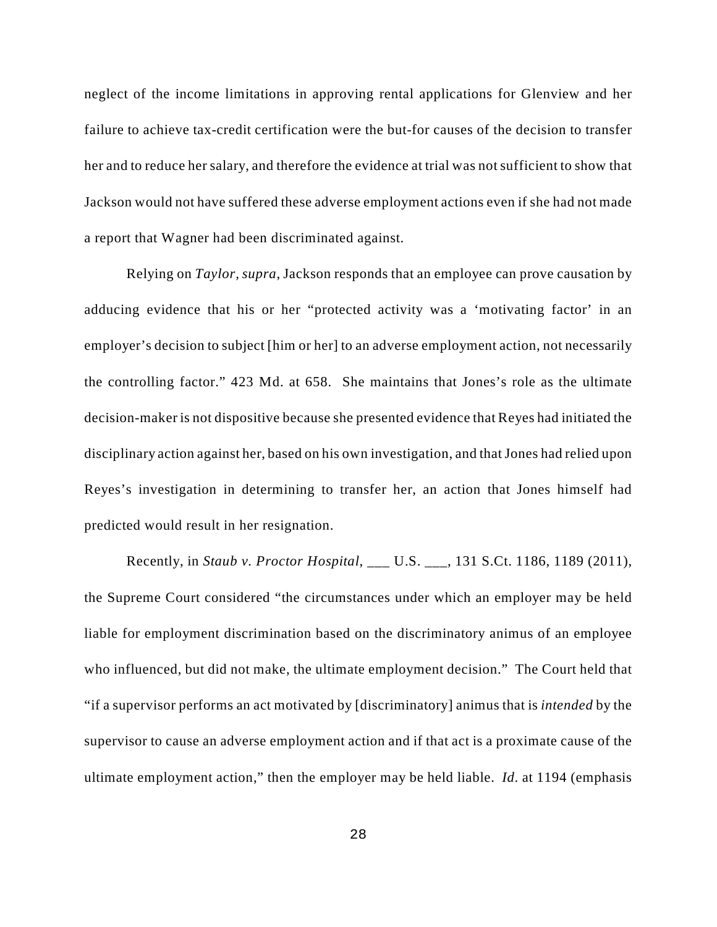neglect of the income limitations in approving rental applications for Glenview and her failure to achieve tax-credit certification were the but-for causes of the decision to transfer her and to reduce her salary, and therefore the evidence at trial was not sufficient to show that Jackson would not have suffered these adverse employment actions even if she had not made a report that Wagner had been discriminated against.

Relying on *Taylor, supra*, Jackson responds that an employee can prove causation by adducing evidence that his or her "protected activity was a 'motivating factor' in an employer's decision to subject [him or her] to an adverse employment action, not necessarily the controlling factor." 423 Md. at 658. She maintains that Jones's role as the ultimate decision-maker is not dispositive because she presented evidence that Reyes had initiated the disciplinary action against her, based on his own investigation, and that Jones had relied upon Reyes's investigation in determining to transfer her, an action that Jones himself had predicted would result in her resignation.

Recently, in *Staub v. Proctor Hospital*, \_\_\_ U.S. \_\_\_, 131 S.Ct. 1186, 1189 (2011), the Supreme Court considered "the circumstances under which an employer may be held liable for employment discrimination based on the discriminatory animus of an employee who influenced, but did not make, the ultimate employment decision." The Court held that "if a supervisor performs an act motivated by [discriminatory] animus that is *intended* by the supervisor to cause an adverse employment action and if that act is a proximate cause of the ultimate employment action," then the employer may be held liable. *Id*. at 1194 (emphasis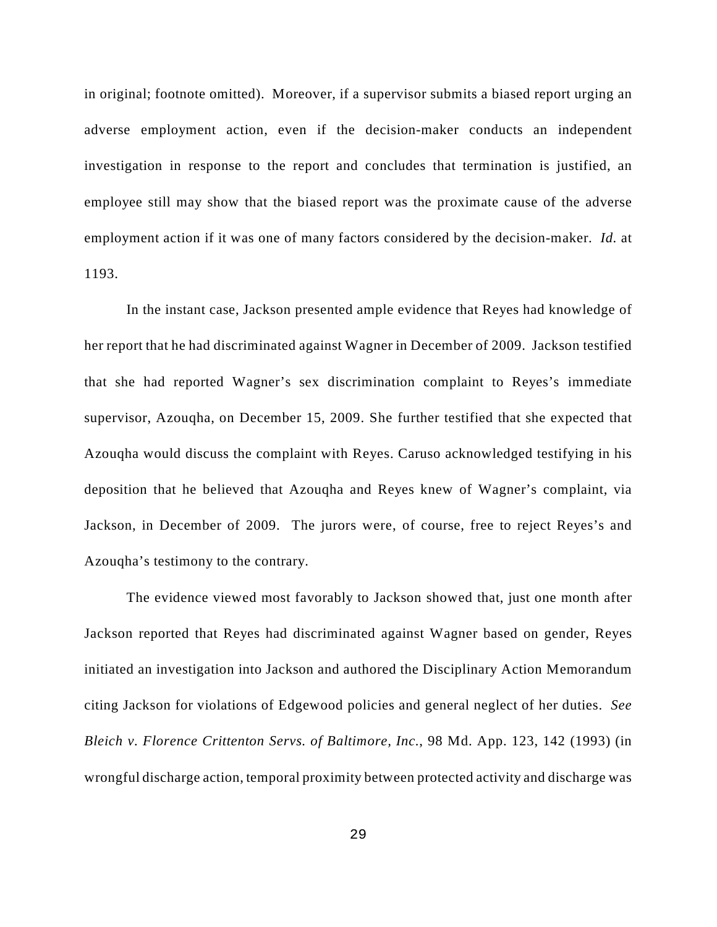in original; footnote omitted). Moreover, if a supervisor submits a biased report urging an adverse employment action, even if the decision-maker conducts an independent investigation in response to the report and concludes that termination is justified, an employee still may show that the biased report was the proximate cause of the adverse employment action if it was one of many factors considered by the decision-maker. *Id.* at 1193.

In the instant case, Jackson presented ample evidence that Reyes had knowledge of her report that he had discriminated against Wagner in December of 2009. Jackson testified that she had reported Wagner's sex discrimination complaint to Reyes's immediate supervisor, Azouqha, on December 15, 2009. She further testified that she expected that Azouqha would discuss the complaint with Reyes. Caruso acknowledged testifying in his deposition that he believed that Azouqha and Reyes knew of Wagner's complaint, via Jackson, in December of 2009. The jurors were, of course, free to reject Reyes's and Azouqha's testimony to the contrary.

The evidence viewed most favorably to Jackson showed that, just one month after Jackson reported that Reyes had discriminated against Wagner based on gender, Reyes initiated an investigation into Jackson and authored the Disciplinary Action Memorandum citing Jackson for violations of Edgewood policies and general neglect of her duties. *See Bleich v. Florence Crittenton Servs. of Baltimore, Inc.*, 98 Md. App. 123, 142 (1993) (in wrongful discharge action, temporal proximity between protected activity and discharge was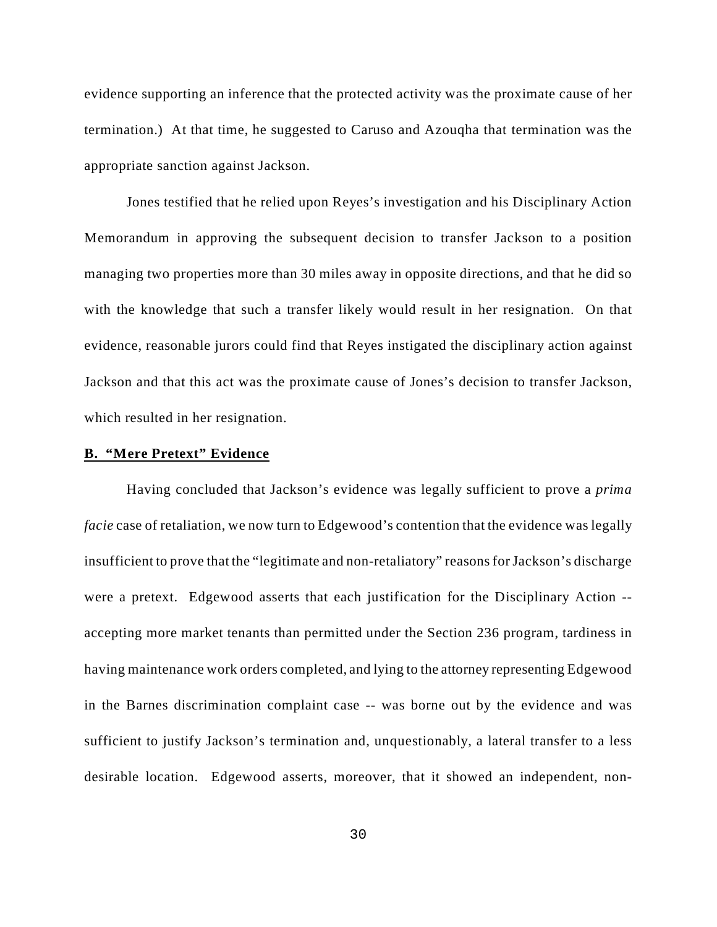evidence supporting an inference that the protected activity was the proximate cause of her termination.) At that time, he suggested to Caruso and Azouqha that termination was the appropriate sanction against Jackson.

Jones testified that he relied upon Reyes's investigation and his Disciplinary Action Memorandum in approving the subsequent decision to transfer Jackson to a position managing two properties more than 30 miles away in opposite directions, and that he did so with the knowledge that such a transfer likely would result in her resignation. On that evidence, reasonable jurors could find that Reyes instigated the disciplinary action against Jackson and that this act was the proximate cause of Jones's decision to transfer Jackson, which resulted in her resignation.

### **B. "Mere Pretext" Evidence**

Having concluded that Jackson's evidence was legally sufficient to prove a *prima facie* case of retaliation, we now turn to Edgewood's contention that the evidence was legally insufficient to prove that the "legitimate and non-retaliatory" reasons for Jackson's discharge were a pretext. Edgewood asserts that each justification for the Disciplinary Action - accepting more market tenants than permitted under the Section 236 program, tardiness in having maintenance work orders completed, and lying to the attorney representing Edgewood in the Barnes discrimination complaint case -- was borne out by the evidence and was sufficient to justify Jackson's termination and, unquestionably, a lateral transfer to a less desirable location. Edgewood asserts, moreover, that it showed an independent, non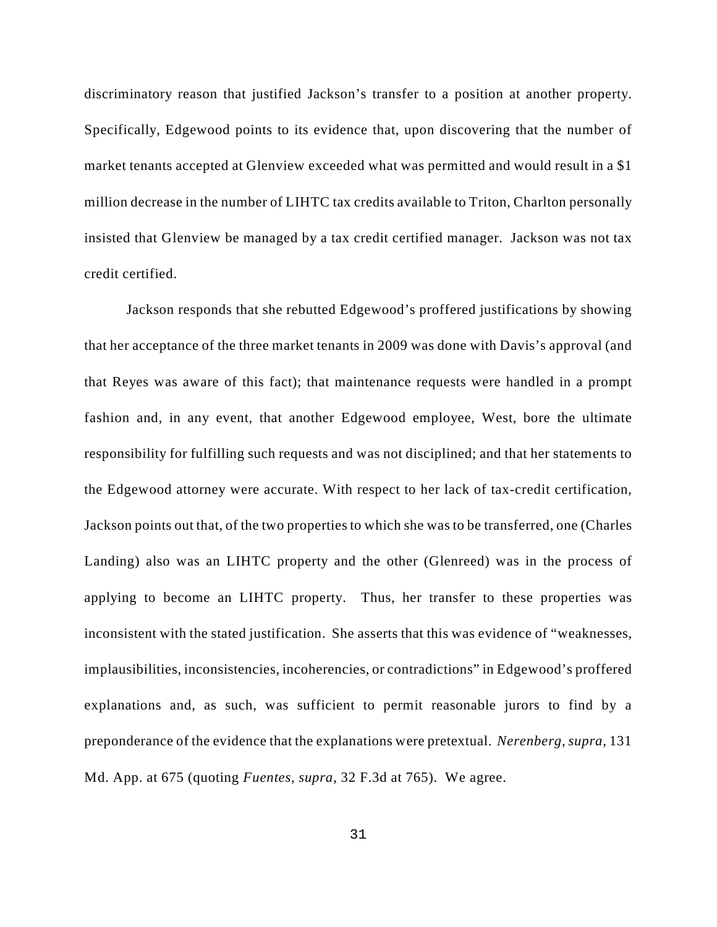discriminatory reason that justified Jackson's transfer to a position at another property. Specifically, Edgewood points to its evidence that, upon discovering that the number of market tenants accepted at Glenview exceeded what was permitted and would result in a \$1 million decrease in the number of LIHTC tax credits available to Triton, Charlton personally insisted that Glenview be managed by a tax credit certified manager. Jackson was not tax credit certified.

Jackson responds that she rebutted Edgewood's proffered justifications by showing that her acceptance of the three market tenants in 2009 was done with Davis's approval (and that Reyes was aware of this fact); that maintenance requests were handled in a prompt fashion and, in any event, that another Edgewood employee, West, bore the ultimate responsibility for fulfilling such requests and was not disciplined; and that her statements to the Edgewood attorney were accurate. With respect to her lack of tax-credit certification, Jackson points out that, of the two properties to which she was to be transferred, one (Charles Landing) also was an LIHTC property and the other (Glenreed) was in the process of applying to become an LIHTC property. Thus, her transfer to these properties was inconsistent with the stated justification. She asserts that this was evidence of "weaknesses, implausibilities, inconsistencies, incoherencies, or contradictions" in Edgewood's proffered explanations and, as such, was sufficient to permit reasonable jurors to find by a preponderance of the evidence that the explanations were pretextual. *Nerenberg, supra*, 131 Md. App. at 675 (quoting *Fuentes, supra*, 32 F.3d at 765). We agree.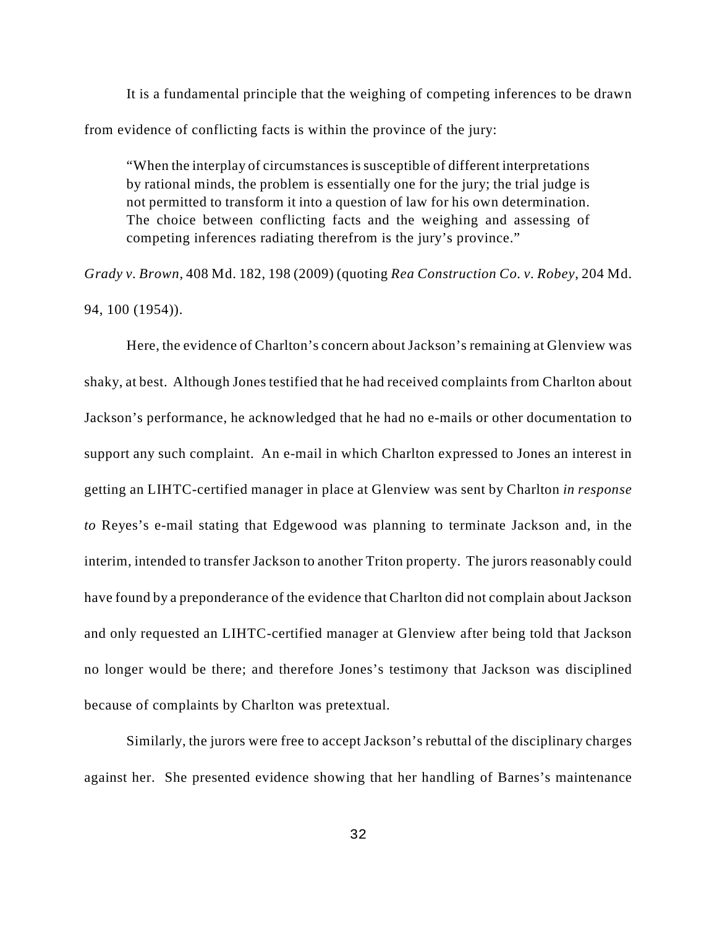It is a fundamental principle that the weighing of competing inferences to be drawn from evidence of conflicting facts is within the province of the jury:

"When the interplay of circumstances is susceptible of different interpretations by rational minds, the problem is essentially one for the jury; the trial judge is not permitted to transform it into a question of law for his own determination. The choice between conflicting facts and the weighing and assessing of competing inferences radiating therefrom is the jury's province."

*Grady v. Brown,* 408 Md. 182, 198 (2009) (quoting *Rea Construction Co. v. Robey*, 204 Md. 94, 100 (1954)).

Here, the evidence of Charlton's concern about Jackson's remaining at Glenview was shaky, at best. Although Jones testified that he had received complaints from Charlton about Jackson's performance, he acknowledged that he had no e-mails or other documentation to support any such complaint. An e-mail in which Charlton expressed to Jones an interest in getting an LIHTC-certified manager in place at Glenview was sent by Charlton *in response to* Reyes's e-mail stating that Edgewood was planning to terminate Jackson and, in the interim, intended to transfer Jackson to another Triton property. The jurors reasonably could have found by a preponderance of the evidence that Charlton did not complain about Jackson and only requested an LIHTC-certified manager at Glenview after being told that Jackson no longer would be there; and therefore Jones's testimony that Jackson was disciplined because of complaints by Charlton was pretextual.

Similarly, the jurors were free to accept Jackson's rebuttal of the disciplinary charges against her. She presented evidence showing that her handling of Barnes's maintenance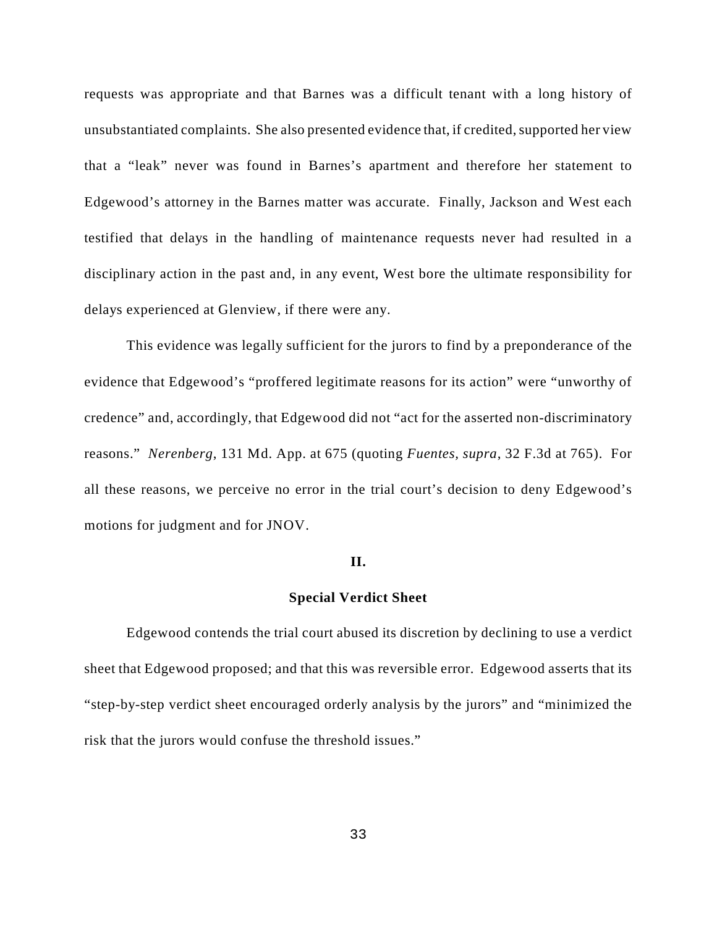requests was appropriate and that Barnes was a difficult tenant with a long history of unsubstantiated complaints. She also presented evidence that, if credited, supported her view that a "leak" never was found in Barnes's apartment and therefore her statement to Edgewood's attorney in the Barnes matter was accurate. Finally, Jackson and West each testified that delays in the handling of maintenance requests never had resulted in a disciplinary action in the past and, in any event, West bore the ultimate responsibility for delays experienced at Glenview, if there were any.

This evidence was legally sufficient for the jurors to find by a preponderance of the evidence that Edgewood's "proffered legitimate reasons for its action" were "unworthy of credence" and, accordingly, that Edgewood did not "act for the asserted non-discriminatory reasons." *Nerenberg*, 131 Md. App. at 675 (quoting *Fuentes, supra*, 32 F.3d at 765). For all these reasons, we perceive no error in the trial court's decision to deny Edgewood's motions for judgment and for JNOV.

#### **II.**

### **Special Verdict Sheet**

Edgewood contends the trial court abused its discretion by declining to use a verdict sheet that Edgewood proposed; and that this was reversible error. Edgewood asserts that its "step-by-step verdict sheet encouraged orderly analysis by the jurors" and "minimized the risk that the jurors would confuse the threshold issues."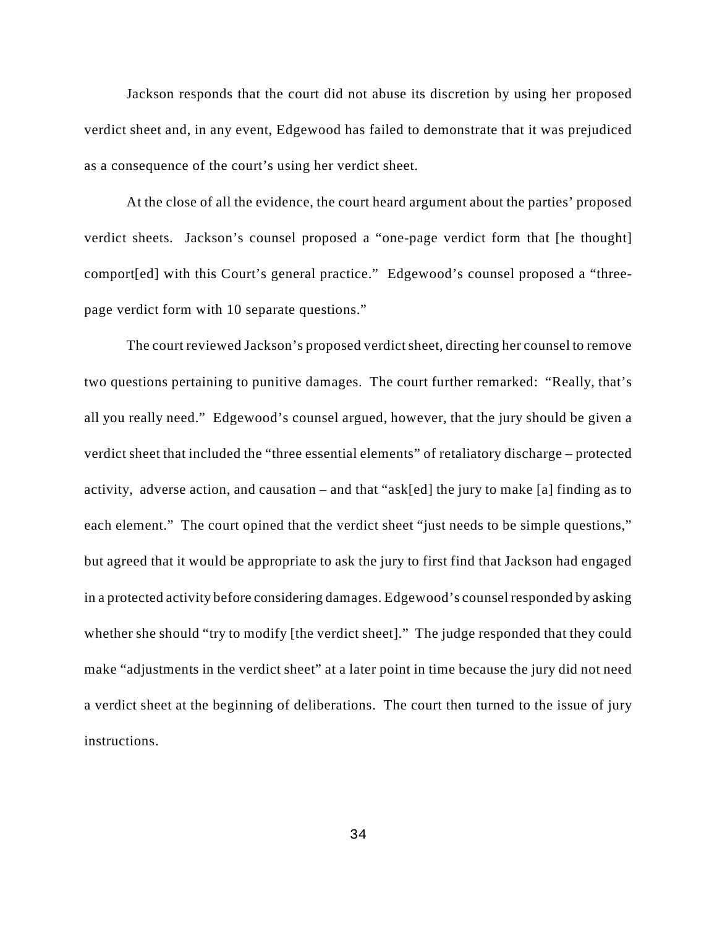Jackson responds that the court did not abuse its discretion by using her proposed verdict sheet and, in any event, Edgewood has failed to demonstrate that it was prejudiced as a consequence of the court's using her verdict sheet.

At the close of all the evidence, the court heard argument about the parties' proposed verdict sheets. Jackson's counsel proposed a "one-page verdict form that [he thought] comport[ed] with this Court's general practice." Edgewood's counsel proposed a "threepage verdict form with 10 separate questions."

The court reviewed Jackson's proposed verdict sheet, directing her counsel to remove two questions pertaining to punitive damages. The court further remarked: "Really, that's all you really need." Edgewood's counsel argued, however, that the jury should be given a verdict sheet that included the "three essential elements" of retaliatory discharge – protected activity, adverse action, and causation – and that "ask[ed] the jury to make [a] finding as to each element." The court opined that the verdict sheet "just needs to be simple questions," but agreed that it would be appropriate to ask the jury to first find that Jackson had engaged in a protected activity before considering damages. Edgewood's counsel responded by asking whether she should "try to modify [the verdict sheet]." The judge responded that they could make "adjustments in the verdict sheet" at a later point in time because the jury did not need a verdict sheet at the beginning of deliberations. The court then turned to the issue of jury instructions.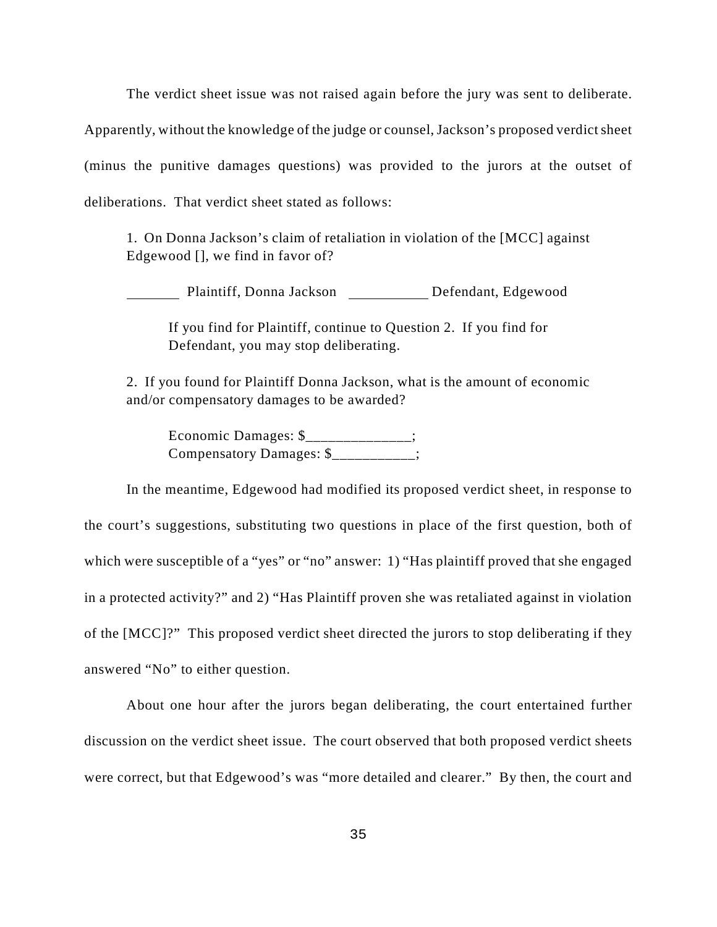The verdict sheet issue was not raised again before the jury was sent to deliberate. Apparently, without the knowledge of the judge or counsel, Jackson's proposed verdict sheet (minus the punitive damages questions) was provided to the jurors at the outset of deliberations. That verdict sheet stated as follows:

1. On Donna Jackson's claim of retaliation in violation of the [MCC] against Edgewood [], we find in favor of?

Plaintiff, Donna Jackson Defendant, Edgewood

If you find for Plaintiff, continue to Question 2. If you find for Defendant, you may stop deliberating.

2. If you found for Plaintiff Donna Jackson, what is the amount of economic and/or compensatory damages to be awarded?

Economic Damages: \$\_\_\_\_\_\_\_\_\_\_\_\_\_\_; Compensatory Damages: \$\_\_\_\_\_\_\_\_\_\_;

In the meantime, Edgewood had modified its proposed verdict sheet, in response to the court's suggestions, substituting two questions in place of the first question, both of which were susceptible of a "yes" or "no" answer: 1) "Has plaintiff proved that she engaged in a protected activity?" and 2) "Has Plaintiff proven she was retaliated against in violation of the [MCC]?" This proposed verdict sheet directed the jurors to stop deliberating if they answered "No" to either question.

About one hour after the jurors began deliberating, the court entertained further discussion on the verdict sheet issue. The court observed that both proposed verdict sheets were correct, but that Edgewood's was "more detailed and clearer." By then, the court and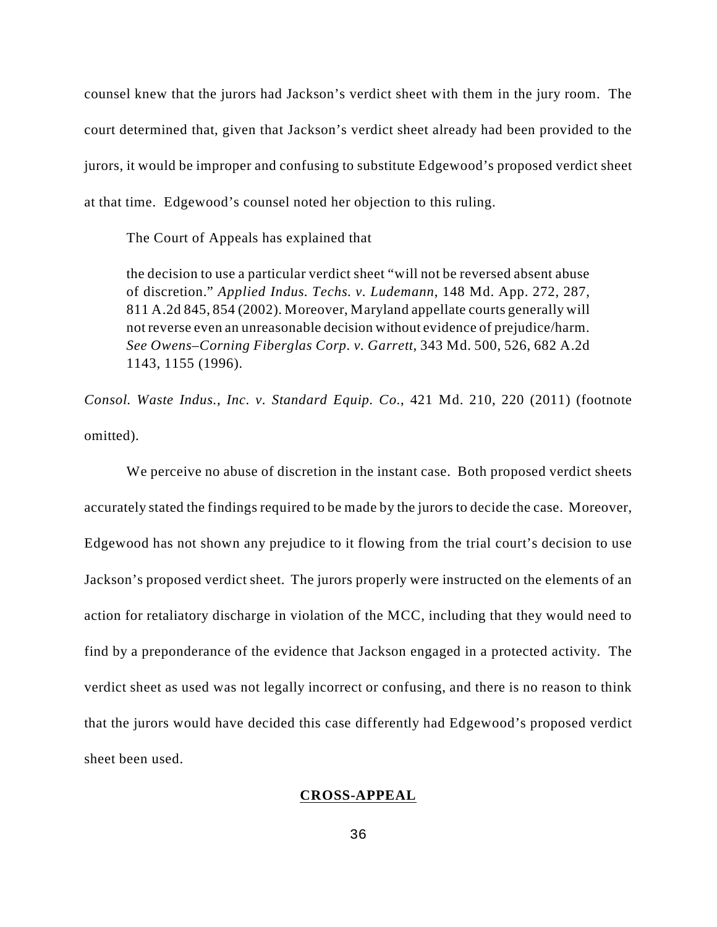counsel knew that the jurors had Jackson's verdict sheet with them in the jury room. The court determined that, given that Jackson's verdict sheet already had been provided to the jurors, it would be improper and confusing to substitute Edgewood's proposed verdict sheet at that time. Edgewood's counsel noted her objection to this ruling.

The Court of Appeals has explained that

the decision to use a particular verdict sheet "will not be reversed absent abuse of discretion." *Applied Indus. Techs. v. Ludemann*, 148 Md. App. 272, 287, 811 A.2d 845, 854 (2002). Moreover, Maryland appellate courts generally will not reverse even an unreasonable decision without evidence of prejudice/harm. *See Owens–Corning Fiberglas Corp. v. Garrett*, 343 Md. 500, 526, 682 A.2d 1143, 1155 (1996).

*Consol. Waste Indus., Inc. v. Standard Equip. Co.*, 421 Md. 210, 220 (2011) (footnote omitted).

We perceive no abuse of discretion in the instant case. Both proposed verdict sheets accurately stated the findings required to be made by the jurors to decide the case. Moreover, Edgewood has not shown any prejudice to it flowing from the trial court's decision to use Jackson's proposed verdict sheet. The jurors properly were instructed on the elements of an action for retaliatory discharge in violation of the MCC, including that they would need to find by a preponderance of the evidence that Jackson engaged in a protected activity. The verdict sheet as used was not legally incorrect or confusing, and there is no reason to think that the jurors would have decided this case differently had Edgewood's proposed verdict sheet been used.

### **CROSS-APPEAL**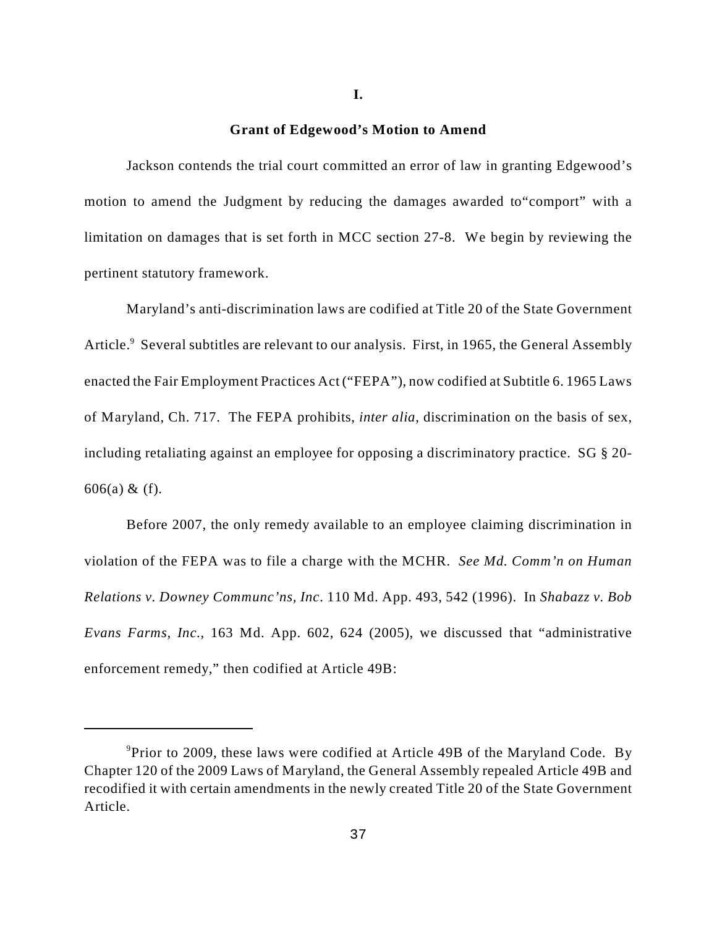**I.**

#### **Grant of Edgewood's Motion to Amend**

Jackson contends the trial court committed an error of law in granting Edgewood's motion to amend the Judgment by reducing the damages awarded to"comport" with a limitation on damages that is set forth in MCC section 27-8. We begin by reviewing the pertinent statutory framework.

Maryland's anti-discrimination laws are codified at Title 20 of the State Government Article.<sup>9</sup> Several subtitles are relevant to our analysis. First, in 1965, the General Assembly enacted the Fair Employment Practices Act ("FEPA"), now codified at Subtitle 6. 1965 Laws of Maryland, Ch. 717. The FEPA prohibits, *inter alia*, discrimination on the basis of sex, including retaliating against an employee for opposing a discriminatory practice. SG § 20- 606(a) & (f).

Before 2007, the only remedy available to an employee claiming discrimination in violation of the FEPA was to file a charge with the MCHR. *See Md. Comm'n on Human Relations v. Downey Communc'ns, Inc*. 110 Md. App. 493, 542 (1996). In *Shabazz v. Bob Evans Farms, Inc.*, 163 Md. App. 602, 624 (2005), we discussed that "administrative enforcement remedy," then codified at Article 49B:

<sup>&</sup>lt;sup>9</sup> Prior to 2009, these laws were codified at Article 49B of the Maryland Code. By Chapter 120 of the 2009 Laws of Maryland, the General Assembly repealed Article 49B and recodified it with certain amendments in the newly created Title 20 of the State Government Article.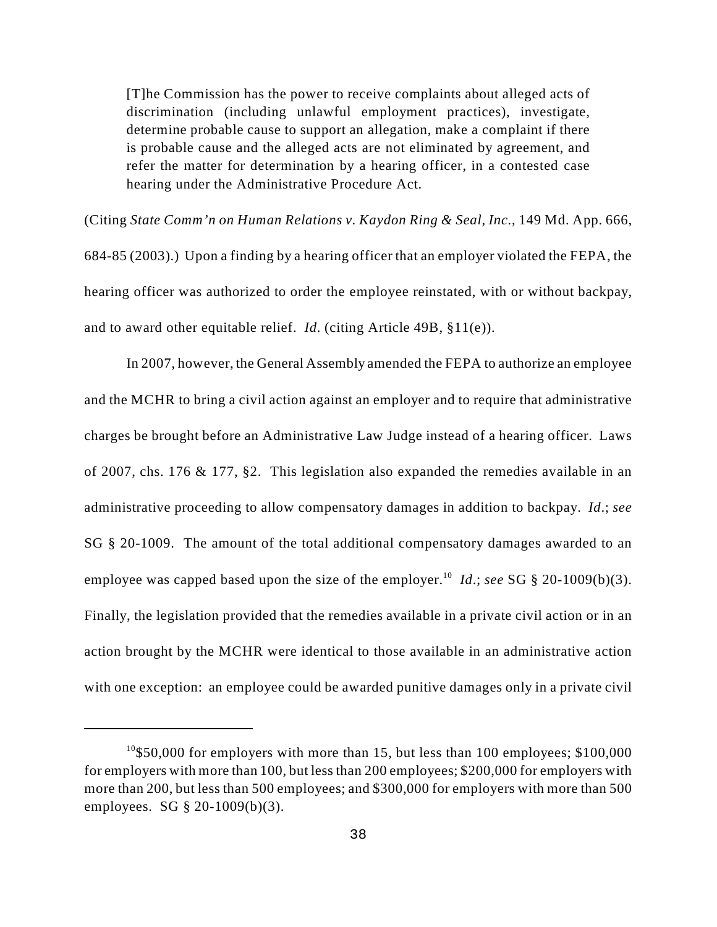[T]he Commission has the power to receive complaints about alleged acts of discrimination (including unlawful employment practices), investigate, determine probable cause to support an allegation, make a complaint if there is probable cause and the alleged acts are not eliminated by agreement, and refer the matter for determination by a hearing officer, in a contested case hearing under the Administrative Procedure Act.

(Citing *State Comm'n on Human Relations v. Kaydon Ring & Seal, Inc.*, 149 Md. App. 666, 684-85 (2003).) Upon a finding by a hearing officer that an employer violated the FEPA, the hearing officer was authorized to order the employee reinstated, with or without backpay, and to award other equitable relief. *Id*. (citing Article 49B, §11(e)).

In 2007, however, the General Assembly amended the FEPA to authorize an employee and the MCHR to bring a civil action against an employer and to require that administrative charges be brought before an Administrative Law Judge instead of a hearing officer. Laws of 2007, chs. 176 & 177, §2. This legislation also expanded the remedies available in an administrative proceeding to allow compensatory damages in addition to backpay. *Id*.; *see* SG § 20-1009. The amount of the total additional compensatory damages awarded to an employee was capped based upon the size of the employer.<sup>10</sup> *Id.*; *see* SG § 20-1009(b)(3). Finally, the legislation provided that the remedies available in a private civil action or in an action brought by the MCHR were identical to those available in an administrative action with one exception: an employee could be awarded punitive damages only in a private civil

<sup>&</sup>lt;sup>10</sup>\$50,000 for employers with more than 15, but less than 100 employees; \$100,000 for employers with more than 100, but less than 200 employees; \$200,000 for employers with more than 200, but less than 500 employees; and \$300,000 for employers with more than 500 employees. SG § 20-1009(b)(3).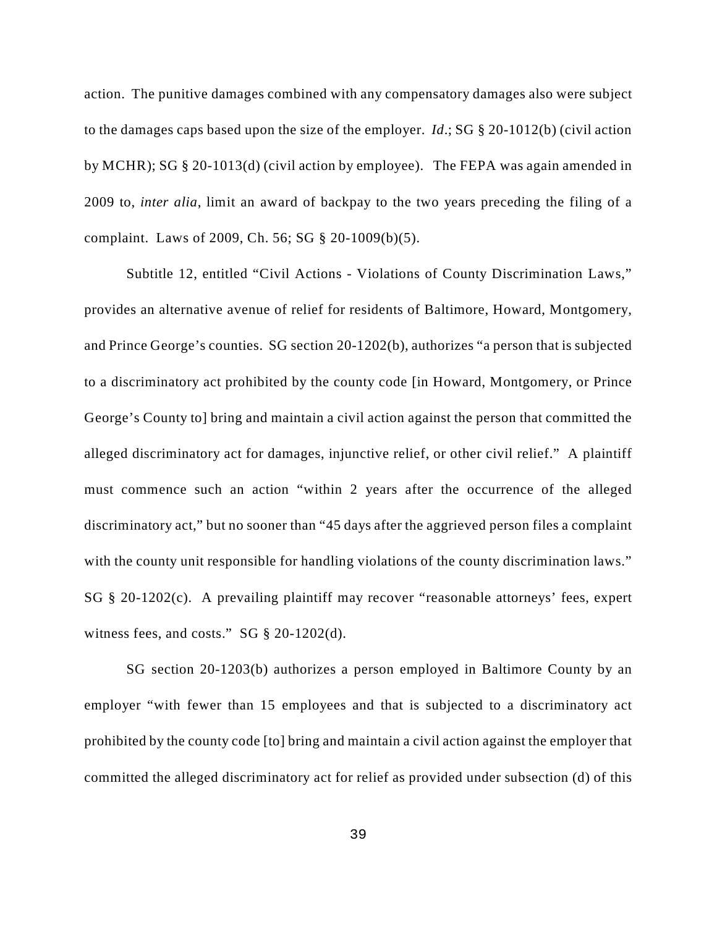action. The punitive damages combined with any compensatory damages also were subject to the damages caps based upon the size of the employer. *Id*.; SG § 20-1012(b) (civil action by MCHR); SG § 20-1013(d) (civil action by employee). The FEPA was again amended in 2009 to, *inter alia*, limit an award of backpay to the two years preceding the filing of a complaint. Laws of 2009, Ch. 56; SG § 20-1009(b)(5).

Subtitle 12, entitled "Civil Actions - Violations of County Discrimination Laws," provides an alternative avenue of relief for residents of Baltimore, Howard, Montgomery, and Prince George's counties. SG section 20-1202(b), authorizes "a person that is subjected to a discriminatory act prohibited by the county code [in Howard, Montgomery, or Prince George's County to] bring and maintain a civil action against the person that committed the alleged discriminatory act for damages, injunctive relief, or other civil relief." A plaintiff must commence such an action "within 2 years after the occurrence of the alleged discriminatory act," but no sooner than "45 days after the aggrieved person files a complaint with the county unit responsible for handling violations of the county discrimination laws." SG § 20-1202(c). A prevailing plaintiff may recover "reasonable attorneys' fees, expert witness fees, and costs." SG § 20-1202(d).

SG section 20-1203(b) authorizes a person employed in Baltimore County by an employer "with fewer than 15 employees and that is subjected to a discriminatory act prohibited by the county code [to] bring and maintain a civil action against the employer that committed the alleged discriminatory act for relief as provided under subsection (d) of this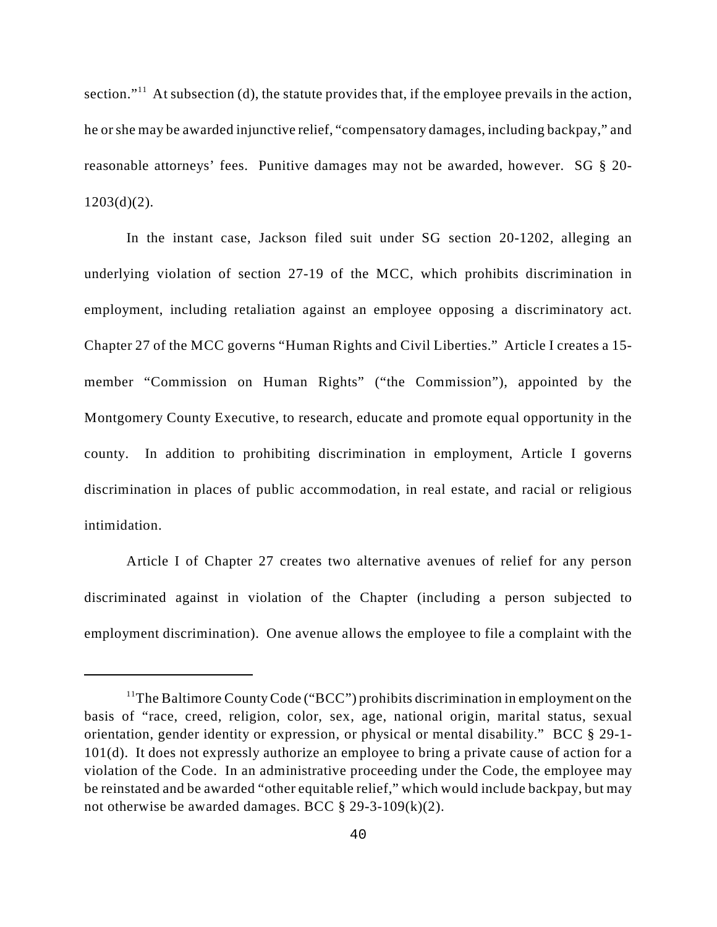section."<sup> $11$ </sup> At subsection (d), the statute provides that, if the employee prevails in the action, he or she may be awarded injunctive relief, "compensatory damages, including backpay," and reasonable attorneys' fees. Punitive damages may not be awarded, however. SG § 20-  $1203(d)(2)$ .

In the instant case, Jackson filed suit under SG section 20-1202, alleging an underlying violation of section 27-19 of the MCC, which prohibits discrimination in employment, including retaliation against an employee opposing a discriminatory act. Chapter 27 of the MCC governs "Human Rights and Civil Liberties." Article I creates a 15 member "Commission on Human Rights" ("the Commission"), appointed by the Montgomery County Executive, to research, educate and promote equal opportunity in the county. In addition to prohibiting discrimination in employment, Article I governs discrimination in places of public accommodation, in real estate, and racial or religious intimidation.

Article I of Chapter 27 creates two alternative avenues of relief for any person discriminated against in violation of the Chapter (including a person subjected to employment discrimination). One avenue allows the employee to file a complaint with the

<sup>&</sup>lt;sup>11</sup>The Baltimore County Code ("BCC") prohibits discrimination in employment on the basis of "race, creed, religion, color, sex, age, national origin, marital status, sexual orientation, gender identity or expression, or physical or mental disability." BCC § 29-1- 101(d). It does not expressly authorize an employee to bring a private cause of action for a violation of the Code. In an administrative proceeding under the Code, the employee may be reinstated and be awarded "other equitable relief," which would include backpay, but may not otherwise be awarded damages. BCC  $\S$  29-3-109(k)(2).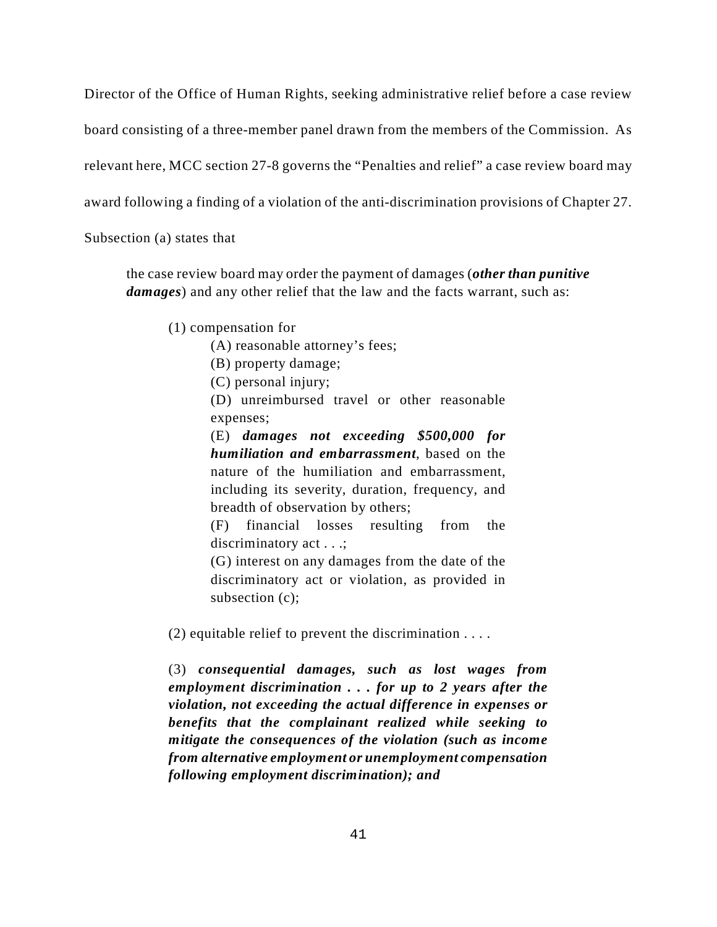Director of the Office of Human Rights, seeking administrative relief before a case review

board consisting of a three-member panel drawn from the members of the Commission. As

relevant here, MCC section 27-8 governs the "Penalties and relief" a case review board may

award following a finding of a violation of the anti-discrimination provisions of Chapter 27.

Subsection (a) states that

the case review board may order the payment of damages (*other than punitive damages*) and any other relief that the law and the facts warrant, such as:

(1) compensation for

(A) reasonable attorney's fees;

- (B) property damage;
- (C) personal injury;

(D) unreimbursed travel or other reasonable expenses;

(E) *damages not exceeding \$500,000 for humiliation and embarrassment*, based on the nature of the humiliation and embarrassment, including its severity, duration, frequency, and breadth of observation by others;

(F) financial losses resulting from the discriminatory act . . .;

(G) interest on any damages from the date of the discriminatory act or violation, as provided in subsection (c);

(2) equitable relief to prevent the discrimination . . . .

(3) *consequential damages, such as lost wages from employment discrimination . . . for up to 2 years after the violation, not exceeding the actual difference in expenses or benefits that the complainant realized while seeking to mitigate the consequences of the violation (such as income from alternative employment or unemployment compensation following employment discrimination); and*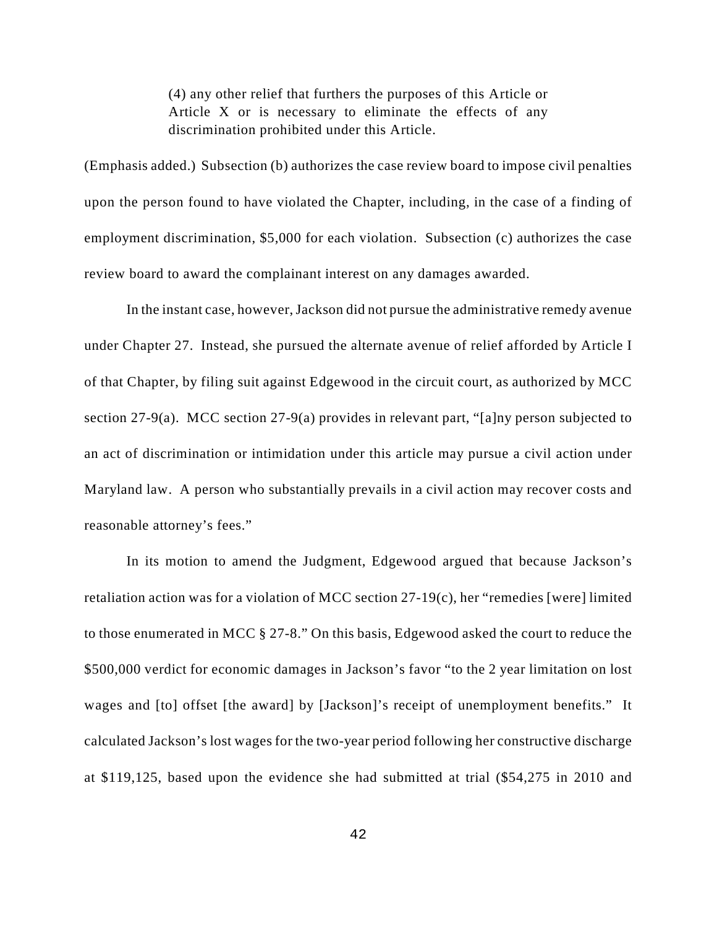(4) any other relief that furthers the purposes of this Article or Article X or is necessary to eliminate the effects of any discrimination prohibited under this Article.

(Emphasis added.) Subsection (b) authorizes the case review board to impose civil penalties upon the person found to have violated the Chapter, including, in the case of a finding of employment discrimination, \$5,000 for each violation. Subsection (c) authorizes the case review board to award the complainant interest on any damages awarded.

In the instant case, however, Jackson did not pursue the administrative remedy avenue under Chapter 27. Instead, she pursued the alternate avenue of relief afforded by Article I of that Chapter, by filing suit against Edgewood in the circuit court, as authorized by MCC section 27-9(a). MCC section 27-9(a) provides in relevant part, "[a]ny person subjected to an act of discrimination or intimidation under this article may pursue a civil action under Maryland law. A person who substantially prevails in a civil action may recover costs and reasonable attorney's fees."

In its motion to amend the Judgment, Edgewood argued that because Jackson's retaliation action was for a violation of MCC section 27-19(c), her "remedies [were] limited to those enumerated in MCC § 27-8." On this basis, Edgewood asked the court to reduce the \$500,000 verdict for economic damages in Jackson's favor "to the 2 year limitation on lost wages and [to] offset [the award] by [Jackson]'s receipt of unemployment benefits." It calculated Jackson's lost wages for the two-year period following her constructive discharge at \$119,125, based upon the evidence she had submitted at trial (\$54,275 in 2010 and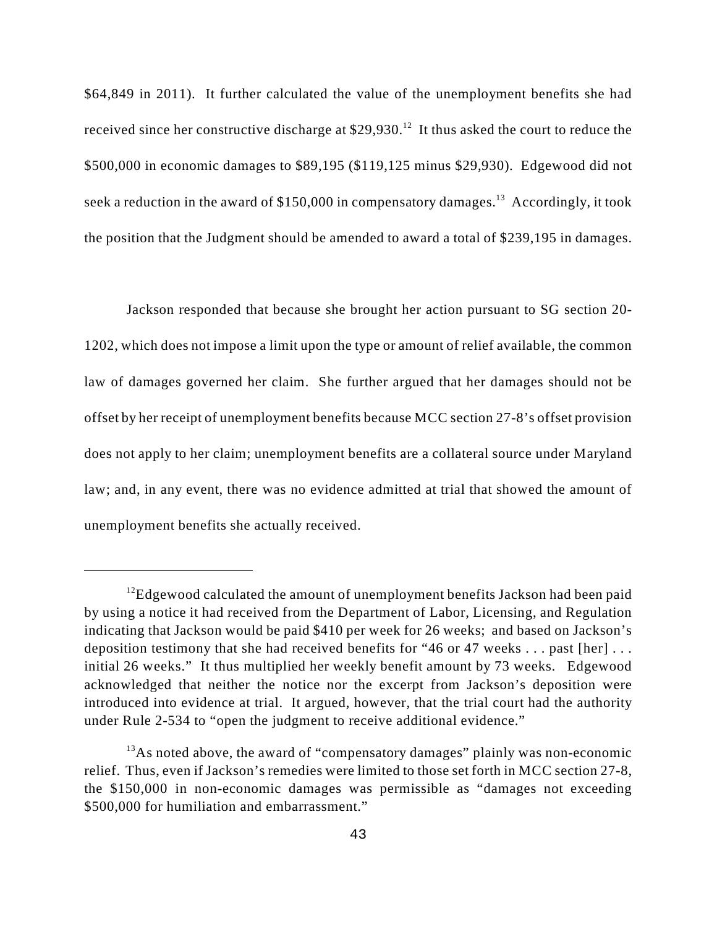\$64,849 in 2011). It further calculated the value of the unemployment benefits she had received since her constructive discharge at  $$29,930.<sup>12</sup>$  It thus asked the court to reduce the \$500,000 in economic damages to \$89,195 (\$119,125 minus \$29,930). Edgewood did not seek a reduction in the award of  $$150,000$  in compensatory damages.<sup>13</sup> Accordingly, it took the position that the Judgment should be amended to award a total of \$239,195 in damages.

Jackson responded that because she brought her action pursuant to SG section 20- 1202, which does not impose a limit upon the type or amount of relief available, the common law of damages governed her claim. She further argued that her damages should not be offset by her receipt of unemployment benefits because MCC section 27-8's offset provision does not apply to her claim; unemployment benefits are a collateral source under Maryland law; and, in any event, there was no evidence admitted at trial that showed the amount of unemployment benefits she actually received.

<sup>&</sup>lt;sup>12</sup>Edgewood calculated the amount of unemployment benefits Jackson had been paid by using a notice it had received from the Department of Labor, Licensing, and Regulation indicating that Jackson would be paid \$410 per week for 26 weeks; and based on Jackson's deposition testimony that she had received benefits for "46 or 47 weeks . . . past [her] . . . initial 26 weeks." It thus multiplied her weekly benefit amount by 73 weeks. Edgewood acknowledged that neither the notice nor the excerpt from Jackson's deposition were introduced into evidence at trial. It argued, however, that the trial court had the authority under Rule 2-534 to "open the judgment to receive additional evidence."

 $^{13}$ As noted above, the award of "compensatory damages" plainly was non-economic relief. Thus, even if Jackson's remedies were limited to those set forth in MCC section 27-8, the \$150,000 in non-economic damages was permissible as "damages not exceeding \$500,000 for humiliation and embarrassment."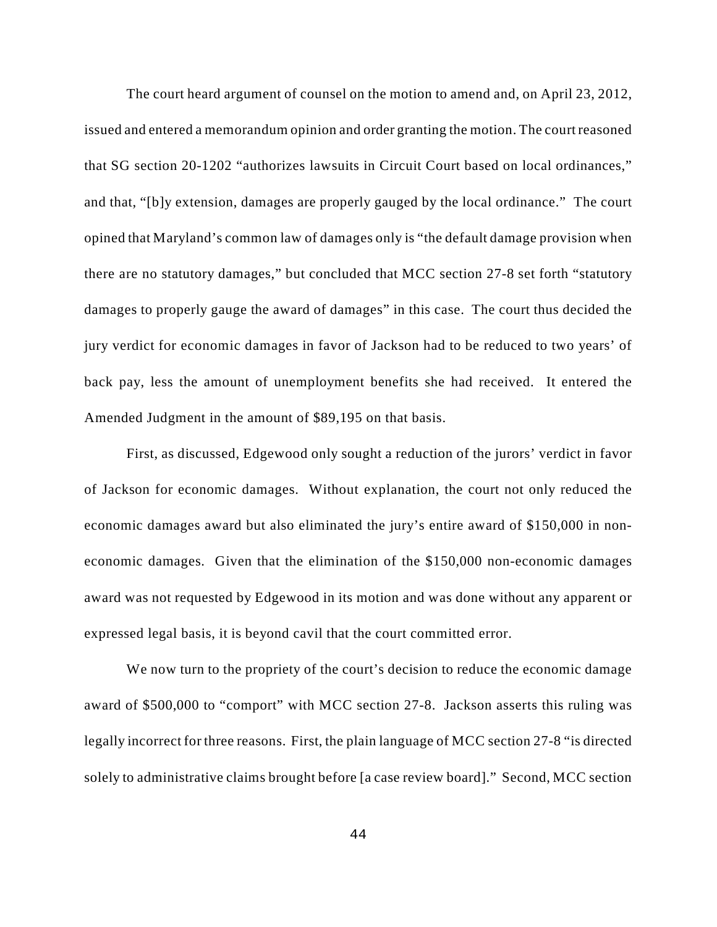The court heard argument of counsel on the motion to amend and, on April 23, 2012, issued and entered a memorandum opinion and order granting the motion. The court reasoned that SG section 20-1202 "authorizes lawsuits in Circuit Court based on local ordinances," and that, "[b]y extension, damages are properly gauged by the local ordinance." The court opined that Maryland's common law of damages only is "the default damage provision when there are no statutory damages," but concluded that MCC section 27-8 set forth "statutory damages to properly gauge the award of damages" in this case. The court thus decided the jury verdict for economic damages in favor of Jackson had to be reduced to two years' of back pay, less the amount of unemployment benefits she had received. It entered the Amended Judgment in the amount of \$89,195 on that basis.

First, as discussed, Edgewood only sought a reduction of the jurors' verdict in favor of Jackson for economic damages. Without explanation, the court not only reduced the economic damages award but also eliminated the jury's entire award of \$150,000 in noneconomic damages. Given that the elimination of the \$150,000 non-economic damages award was not requested by Edgewood in its motion and was done without any apparent or expressed legal basis, it is beyond cavil that the court committed error.

We now turn to the propriety of the court's decision to reduce the economic damage award of \$500,000 to "comport" with MCC section 27-8. Jackson asserts this ruling was legally incorrect for three reasons. First, the plain language of MCC section 27-8 "is directed solely to administrative claims brought before [a case review board]." Second, MCC section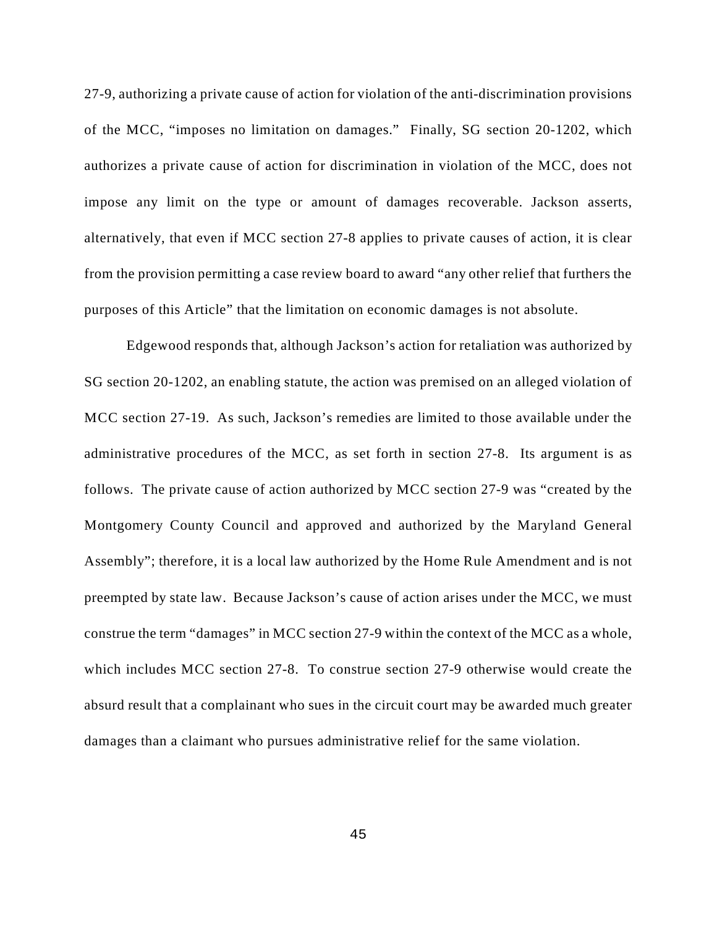27-9, authorizing a private cause of action for violation of the anti-discrimination provisions of the MCC, "imposes no limitation on damages." Finally, SG section 20-1202, which authorizes a private cause of action for discrimination in violation of the MCC, does not impose any limit on the type or amount of damages recoverable. Jackson asserts, alternatively, that even if MCC section 27-8 applies to private causes of action, it is clear from the provision permitting a case review board to award "any other relief that furthers the purposes of this Article" that the limitation on economic damages is not absolute.

Edgewood responds that, although Jackson's action for retaliation was authorized by SG section 20-1202, an enabling statute, the action was premised on an alleged violation of MCC section 27-19. As such, Jackson's remedies are limited to those available under the administrative procedures of the MCC, as set forth in section 27-8. Its argument is as follows. The private cause of action authorized by MCC section 27-9 was "created by the Montgomery County Council and approved and authorized by the Maryland General Assembly"; therefore, it is a local law authorized by the Home Rule Amendment and is not preempted by state law. Because Jackson's cause of action arises under the MCC, we must construe the term "damages" in MCC section 27-9 within the context of the MCC as a whole, which includes MCC section 27-8. To construe section 27-9 otherwise would create the absurd result that a complainant who sues in the circuit court may be awarded much greater damages than a claimant who pursues administrative relief for the same violation.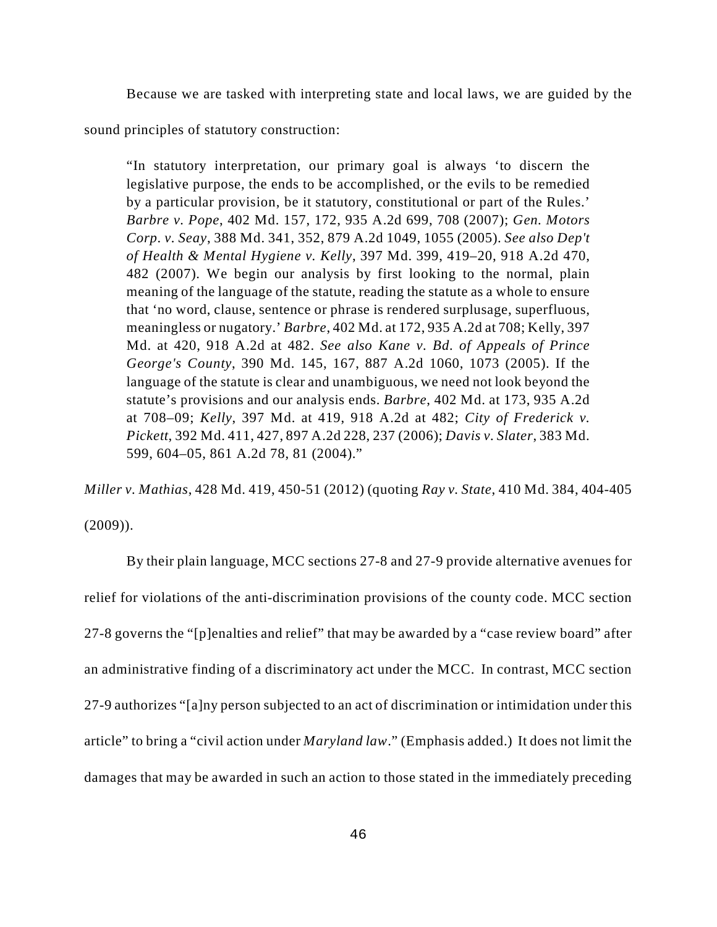Because we are tasked with interpreting state and local laws, we are guided by the

sound principles of statutory construction:

"In statutory interpretation, our primary goal is always 'to discern the legislative purpose, the ends to be accomplished, or the evils to be remedied by a particular provision, be it statutory, constitutional or part of the Rules.' *Barbre v. Pope*, 402 Md. 157, 172, 935 A.2d 699, 708 (2007); *Gen. Motors Corp. v. Seay*, 388 Md. 341, 352, 879 A.2d 1049, 1055 (2005). *See also Dep't of Health & Mental Hygiene v. Kelly*, 397 Md. 399, 419–20, 918 A.2d 470, 482 (2007). We begin our analysis by first looking to the normal, plain meaning of the language of the statute, reading the statute as a whole to ensure that 'no word, clause, sentence or phrase is rendered surplusage, superfluous, meaningless or nugatory.' *Barbre*, 402 Md. at 172, 935 A.2d at 708; Kelly, 397 Md. at 420, 918 A.2d at 482. *See also Kane v. Bd. of Appeals of Prince George's County*, 390 Md. 145, 167, 887 A.2d 1060, 1073 (2005). If the language of the statute is clear and unambiguous, we need not look beyond the statute's provisions and our analysis ends. *Barbre*, 402 Md. at 173, 935 A.2d at 708–09; *Kelly*, 397 Md. at 419, 918 A.2d at 482; *City of Frederick v. Pickett*, 392 Md. 411, 427, 897 A.2d 228, 237 (2006); *Davis v. Slater*, 383 Md. 599, 604–05, 861 A.2d 78, 81 (2004)."

*Miller v. Mathias*, 428 Md. 419, 450-51 (2012) (quoting *Ray v. State*, 410 Md. 384, 404-405  $(2009)$ ).

By their plain language, MCC sections 27-8 and 27-9 provide alternative avenues for relief for violations of the anti-discrimination provisions of the county code. MCC section 27-8 governs the "[p]enalties and relief" that may be awarded by a "case review board" after an administrative finding of a discriminatory act under the MCC. In contrast, MCC section 27-9 authorizes "[a]ny person subjected to an act of discrimination or intimidation under this article" to bring a "civil action under *Maryland law*." (Emphasis added.) It does not limit the damages that may be awarded in such an action to those stated in the immediately preceding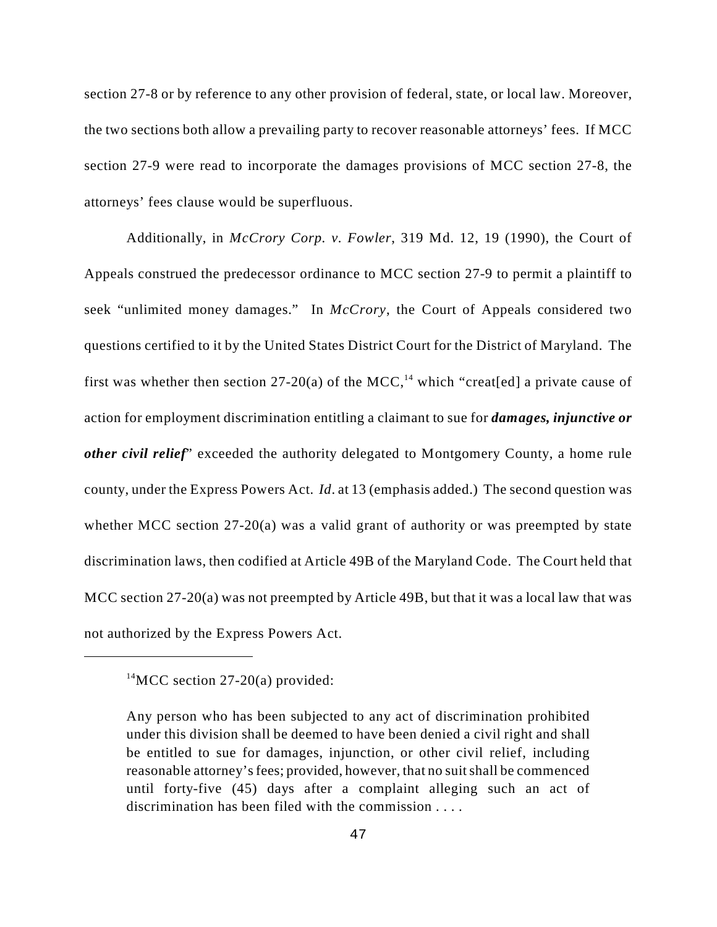section 27-8 or by reference to any other provision of federal, state, or local law. Moreover, the two sections both allow a prevailing party to recover reasonable attorneys' fees. If MCC section 27-9 were read to incorporate the damages provisions of MCC section 27-8, the attorneys' fees clause would be superfluous.

Additionally, in *McCrory Corp. v. Fowler*, 319 Md. 12, 19 (1990), the Court of Appeals construed the predecessor ordinance to MCC section 27-9 to permit a plaintiff to seek "unlimited money damages." In *McCrory*, the Court of Appeals considered two questions certified to it by the United States District Court for the District of Maryland. The first was whether then section 27-20(a) of the MCC,<sup>14</sup> which "creat[ed] a private cause of action for employment discrimination entitling a claimant to sue for *damages, injunctive or other civil relief*" exceeded the authority delegated to Montgomery County, a home rule county, under the Express Powers Act. *Id*. at 13 (emphasis added.) The second question was whether MCC section 27-20(a) was a valid grant of authority or was preempted by state discrimination laws, then codified at Article 49B of the Maryland Code. The Court held that MCC section 27-20(a) was not preempted by Article 49B, but that it was a local law that was not authorized by the Express Powers Act.

<sup>&</sup>lt;sup>14</sup>MCC section 27-20(a) provided:

Any person who has been subjected to any act of discrimination prohibited under this division shall be deemed to have been denied a civil right and shall be entitled to sue for damages, injunction, or other civil relief, including reasonable attorney's fees; provided, however, that no suit shall be commenced until forty-five (45) days after a complaint alleging such an act of discrimination has been filed with the commission . . . .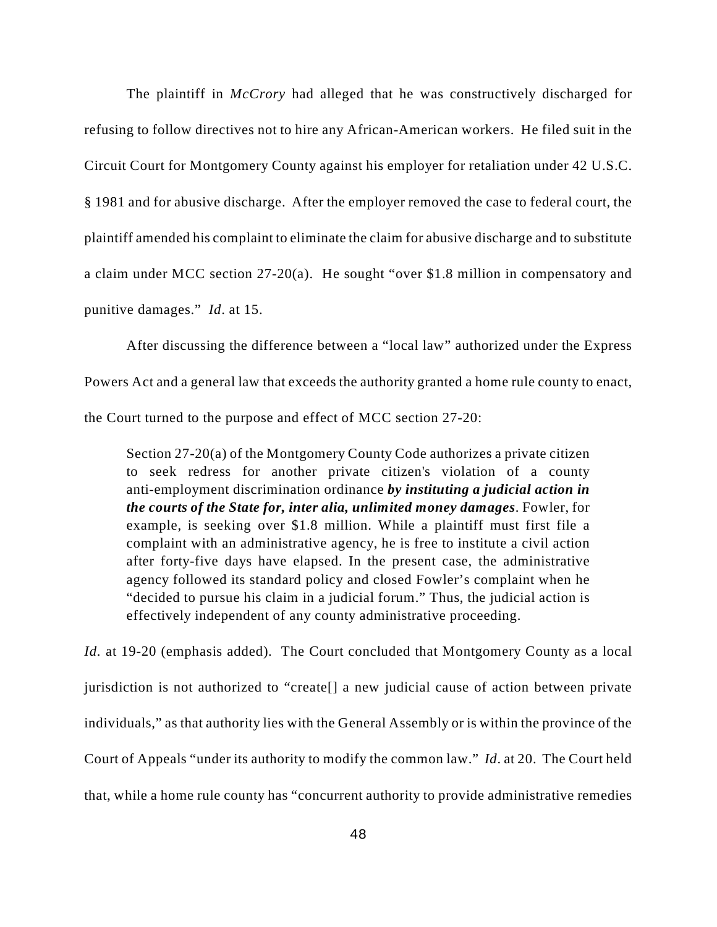The plaintiff in *McCrory* had alleged that he was constructively discharged for refusing to follow directives not to hire any African-American workers. He filed suit in the Circuit Court for Montgomery County against his employer for retaliation under 42 U.S.C. § 1981 and for abusive discharge. After the employer removed the case to federal court, the plaintiff amended his complaint to eliminate the claim for abusive discharge and to substitute a claim under MCC section 27-20(a). He sought "over \$1.8 million in compensatory and punitive damages." *Id*. at 15.

After discussing the difference between a "local law" authorized under the Express Powers Act and a general law that exceeds the authority granted a home rule county to enact, the Court turned to the purpose and effect of MCC section 27-20:

Section 27-20(a) of the Montgomery County Code authorizes a private citizen to seek redress for another private citizen's violation of a county anti-employment discrimination ordinance *by instituting a judicial action in the courts of the State for, inter alia, unlimited money damages*. Fowler, for example, is seeking over \$1.8 million. While a plaintiff must first file a complaint with an administrative agency, he is free to institute a civil action after forty-five days have elapsed. In the present case, the administrative agency followed its standard policy and closed Fowler's complaint when he "decided to pursue his claim in a judicial forum." Thus, the judicial action is effectively independent of any county administrative proceeding.

*Id.* at 19-20 (emphasis added). The Court concluded that Montgomery County as a local jurisdiction is not authorized to "create[] a new judicial cause of action between private individuals," as that authority lies with the General Assembly or is within the province of the Court of Appeals "under its authority to modify the common law." *Id*. at 20. The Court held that, while a home rule county has "concurrent authority to provide administrative remedies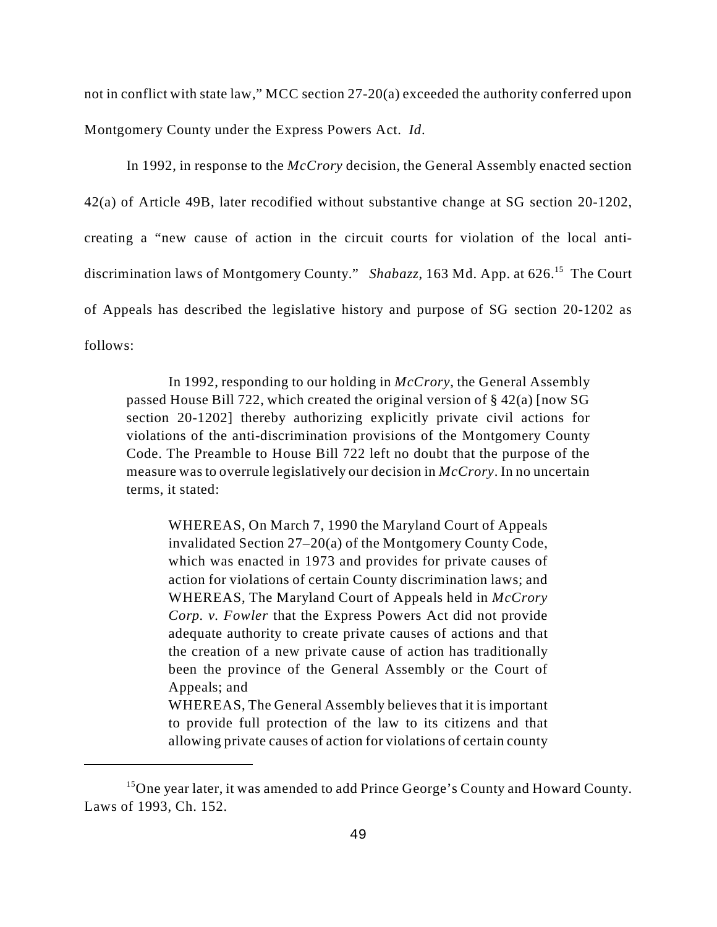not in conflict with state law," MCC section 27-20(a) exceeded the authority conferred upon Montgomery County under the Express Powers Act. *Id*.

In 1992, in response to the *McCrory* decision, the General Assembly enacted section 42(a) of Article 49B, later recodified without substantive change at SG section 20-1202, creating a "new cause of action in the circuit courts for violation of the local antidiscrimination laws of Montgomery County." *Shabazz*, 163 Md. App. at 626.<sup>15</sup> The Court of Appeals has described the legislative history and purpose of SG section 20-1202 as follows:

In 1992, responding to our holding in *McCrory*, the General Assembly passed House Bill 722, which created the original version of § 42(a) [now SG section 20-1202] thereby authorizing explicitly private civil actions for violations of the anti-discrimination provisions of the Montgomery County Code. The Preamble to House Bill 722 left no doubt that the purpose of the measure was to overrule legislatively our decision in *McCrory*. In no uncertain terms, it stated:

WHEREAS, On March 7, 1990 the Maryland Court of Appeals invalidated Section 27–20(a) of the Montgomery County Code, which was enacted in 1973 and provides for private causes of action for violations of certain County discrimination laws; and WHEREAS, The Maryland Court of Appeals held in *McCrory Corp. v. Fowler* that the Express Powers Act did not provide adequate authority to create private causes of actions and that the creation of a new private cause of action has traditionally been the province of the General Assembly or the Court of Appeals; and

WHEREAS, The General Assembly believes that it is important to provide full protection of the law to its citizens and that allowing private causes of action for violations of certain county

 $15$ One year later, it was amended to add Prince George's County and Howard County. Laws of 1993, Ch. 152.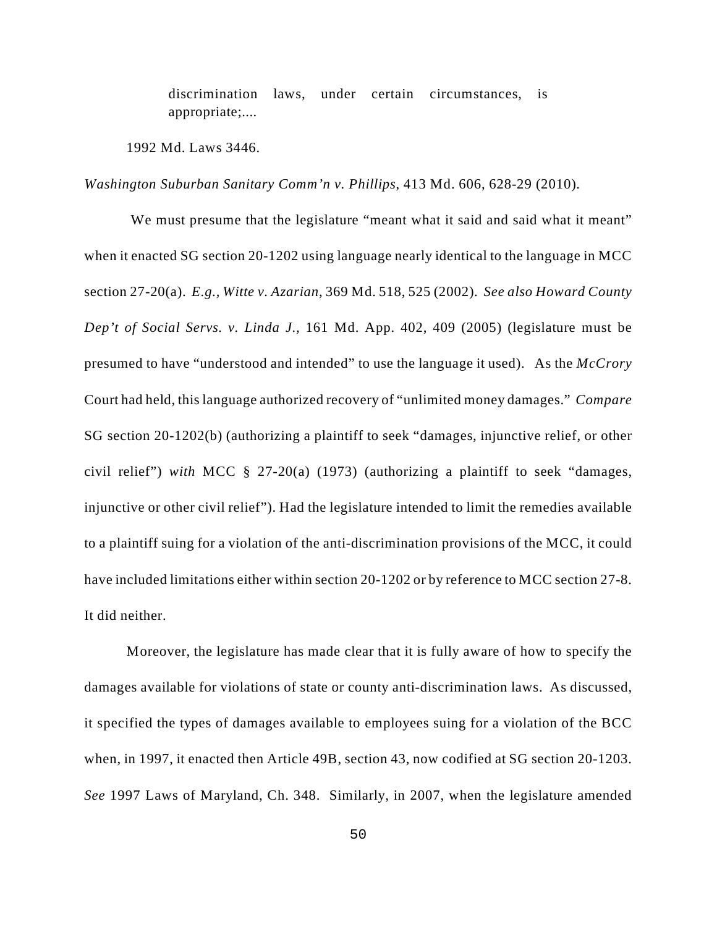discrimination laws, under certain circumstances, is appropriate;....

1992 Md. Laws 3446.

*Washington Suburban Sanitary Comm'n v. Phillips*, 413 Md. 606, 628-29 (2010).

We must presume that the legislature "meant what it said and said what it meant" when it enacted SG section 20-1202 using language nearly identical to the language in MCC section 27-20(a). *E.g., Witte v. Azarian*, 369 Md. 518, 525 (2002). *See also Howard County Dep't of Social Servs. v. Linda J.,* 161 Md. App. 402, 409 (2005) (legislature must be presumed to have "understood and intended" to use the language it used). As the *McCrory* Court had held, this language authorized recovery of "unlimited money damages." *Compare* SG section 20-1202(b) (authorizing a plaintiff to seek "damages, injunctive relief, or other civil relief") *with* MCC § 27-20(a) (1973) (authorizing a plaintiff to seek "damages, injunctive or other civil relief"). Had the legislature intended to limit the remedies available to a plaintiff suing for a violation of the anti-discrimination provisions of the MCC, it could have included limitations either within section 20-1202 or by reference to MCC section 27-8. It did neither.

Moreover, the legislature has made clear that it is fully aware of how to specify the damages available for violations of state or county anti-discrimination laws. As discussed, it specified the types of damages available to employees suing for a violation of the BCC when, in 1997, it enacted then Article 49B, section 43, now codified at SG section 20-1203. *See* 1997 Laws of Maryland, Ch. 348. Similarly, in 2007, when the legislature amended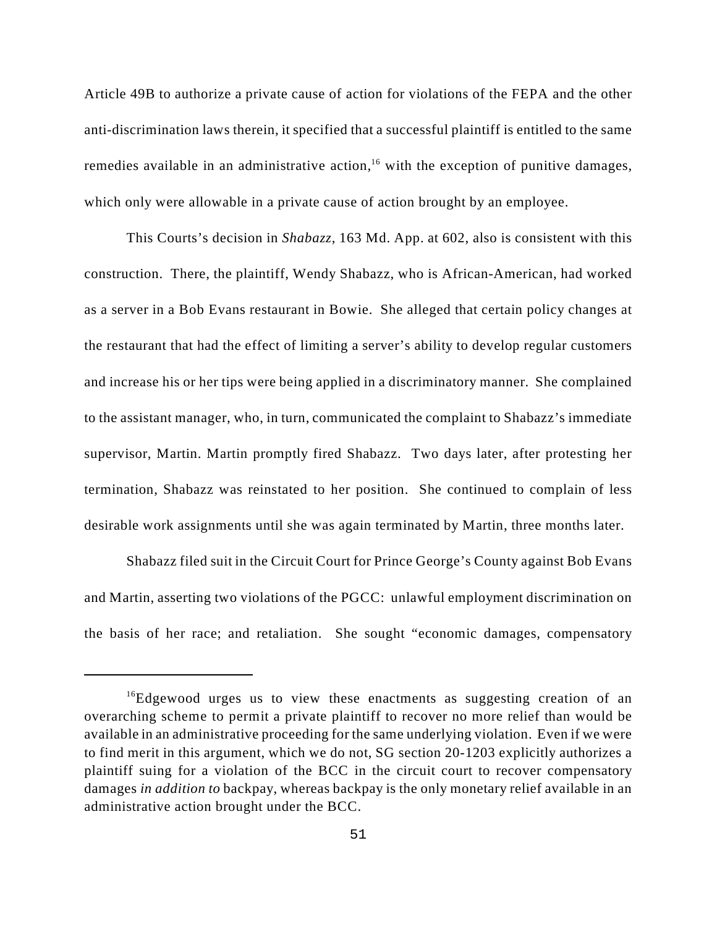Article 49B to authorize a private cause of action for violations of the FEPA and the other anti-discrimination laws therein, it specified that a successful plaintiff is entitled to the same remedies available in an administrative action,<sup>16</sup> with the exception of punitive damages, which only were allowable in a private cause of action brought by an employee.

This Courts's decision in *Shabazz*, 163 Md. App. at 602, also is consistent with this construction. There, the plaintiff, Wendy Shabazz, who is African-American, had worked as a server in a Bob Evans restaurant in Bowie. She alleged that certain policy changes at the restaurant that had the effect of limiting a server's ability to develop regular customers and increase his or her tips were being applied in a discriminatory manner. She complained to the assistant manager, who, in turn, communicated the complaint to Shabazz's immediate supervisor, Martin. Martin promptly fired Shabazz. Two days later, after protesting her termination, Shabazz was reinstated to her position. She continued to complain of less desirable work assignments until she was again terminated by Martin, three months later.

Shabazz filed suit in the Circuit Court for Prince George's County against Bob Evans and Martin, asserting two violations of the PGCC: unlawful employment discrimination on the basis of her race; and retaliation. She sought "economic damages, compensatory

<sup>&</sup>lt;sup>16</sup>Edgewood urges us to view these enactments as suggesting creation of an overarching scheme to permit a private plaintiff to recover no more relief than would be available in an administrative proceeding for the same underlying violation. Even if we were to find merit in this argument, which we do not, SG section 20-1203 explicitly authorizes a plaintiff suing for a violation of the BCC in the circuit court to recover compensatory damages *in addition to* backpay, whereas backpay is the only monetary relief available in an administrative action brought under the BCC.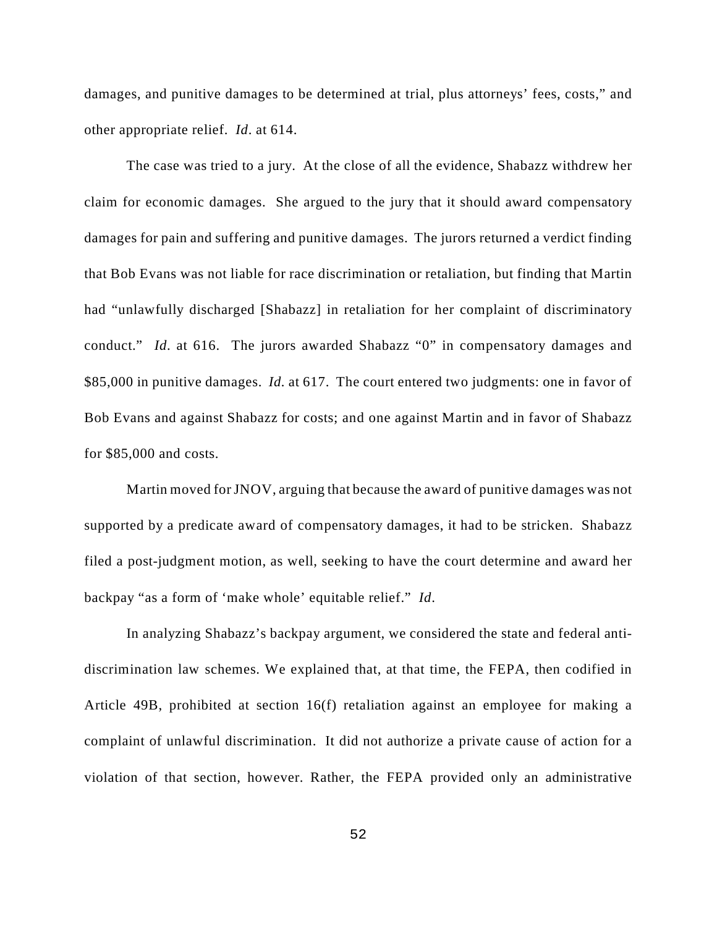damages, and punitive damages to be determined at trial, plus attorneys' fees, costs," and other appropriate relief. *Id*. at 614.

The case was tried to a jury. At the close of all the evidence, Shabazz withdrew her claim for economic damages. She argued to the jury that it should award compensatory damages for pain and suffering and punitive damages. The jurors returned a verdict finding that Bob Evans was not liable for race discrimination or retaliation, but finding that Martin had "unlawfully discharged [Shabazz] in retaliation for her complaint of discriminatory conduct." *Id*. at 616. The jurors awarded Shabazz "0" in compensatory damages and \$85,000 in punitive damages. *Id.* at 617. The court entered two judgments: one in favor of Bob Evans and against Shabazz for costs; and one against Martin and in favor of Shabazz for \$85,000 and costs.

Martin moved for JNOV, arguing that because the award of punitive damages was not supported by a predicate award of compensatory damages, it had to be stricken. Shabazz filed a post-judgment motion, as well, seeking to have the court determine and award her backpay "as a form of 'make whole' equitable relief." *Id*.

In analyzing Shabazz's backpay argument, we considered the state and federal antidiscrimination law schemes. We explained that, at that time, the FEPA, then codified in Article 49B, prohibited at section 16(f) retaliation against an employee for making a complaint of unlawful discrimination. It did not authorize a private cause of action for a violation of that section, however. Rather, the FEPA provided only an administrative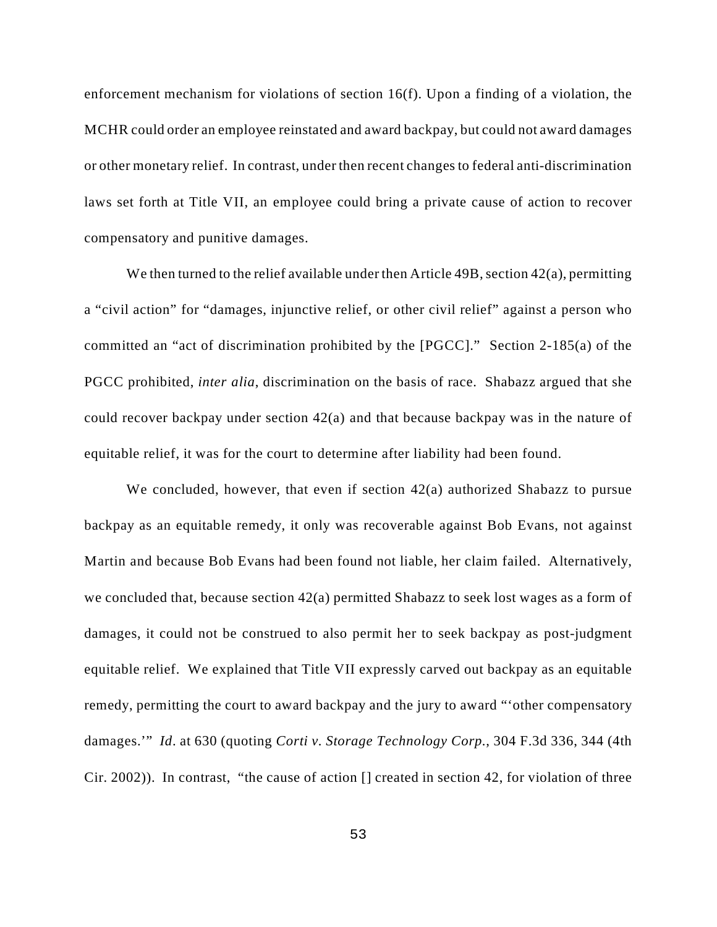enforcement mechanism for violations of section 16(f). Upon a finding of a violation, the MCHR could order an employee reinstated and award backpay, but could not award damages or other monetary relief. In contrast, under then recent changes to federal anti-discrimination laws set forth at Title VII, an employee could bring a private cause of action to recover compensatory and punitive damages.

We then turned to the relief available under then Article 49B, section 42(a), permitting a "civil action" for "damages, injunctive relief, or other civil relief" against a person who committed an "act of discrimination prohibited by the [PGCC]." Section 2-185(a) of the PGCC prohibited, *inter alia*, discrimination on the basis of race. Shabazz argued that she could recover backpay under section 42(a) and that because backpay was in the nature of equitable relief, it was for the court to determine after liability had been found.

We concluded, however, that even if section 42(a) authorized Shabazz to pursue backpay as an equitable remedy, it only was recoverable against Bob Evans, not against Martin and because Bob Evans had been found not liable, her claim failed. Alternatively, we concluded that, because section 42(a) permitted Shabazz to seek lost wages as a form of damages, it could not be construed to also permit her to seek backpay as post-judgment equitable relief. We explained that Title VII expressly carved out backpay as an equitable remedy, permitting the court to award backpay and the jury to award "'other compensatory damages.'" *Id*. at 630 (quoting *Corti v. Storage Technology Corp.*, 304 F.3d 336, 344 (4th Cir. 2002)). In contrast, "the cause of action [] created in section 42, for violation of three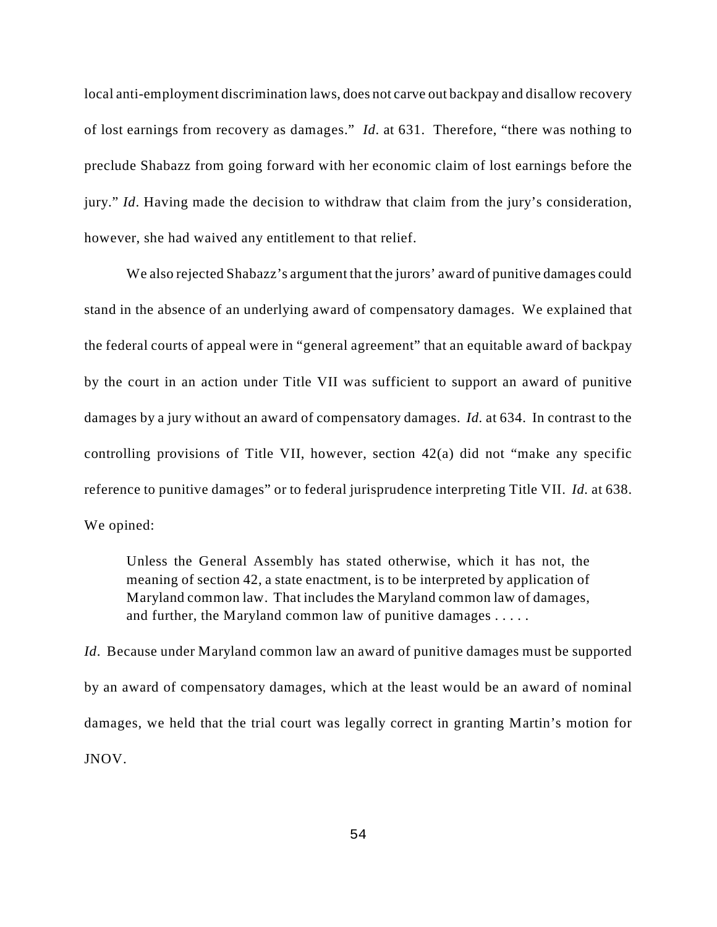local anti-employment discrimination laws, does not carve out backpay and disallow recovery of lost earnings from recovery as damages." *Id*. at 631. Therefore, "there was nothing to preclude Shabazz from going forward with her economic claim of lost earnings before the jury." *Id*. Having made the decision to withdraw that claim from the jury's consideration, however, she had waived any entitlement to that relief.

We also rejected Shabazz's argument that the jurors' award of punitive damages could stand in the absence of an underlying award of compensatory damages. We explained that the federal courts of appeal were in "general agreement" that an equitable award of backpay by the court in an action under Title VII was sufficient to support an award of punitive damages by a jury without an award of compensatory damages. *Id.* at 634. In contrast to the controlling provisions of Title VII, however, section 42(a) did not "make any specific reference to punitive damages" or to federal jurisprudence interpreting Title VII. *Id.* at 638. We opined:

Unless the General Assembly has stated otherwise, which it has not, the meaning of section 42, a state enactment, is to be interpreted by application of Maryland common law. That includes the Maryland common law of damages, and further, the Maryland common law of punitive damages . . . . .

*Id*. Because under Maryland common law an award of punitive damages must be supported by an award of compensatory damages, which at the least would be an award of nominal damages, we held that the trial court was legally correct in granting Martin's motion for JNOV.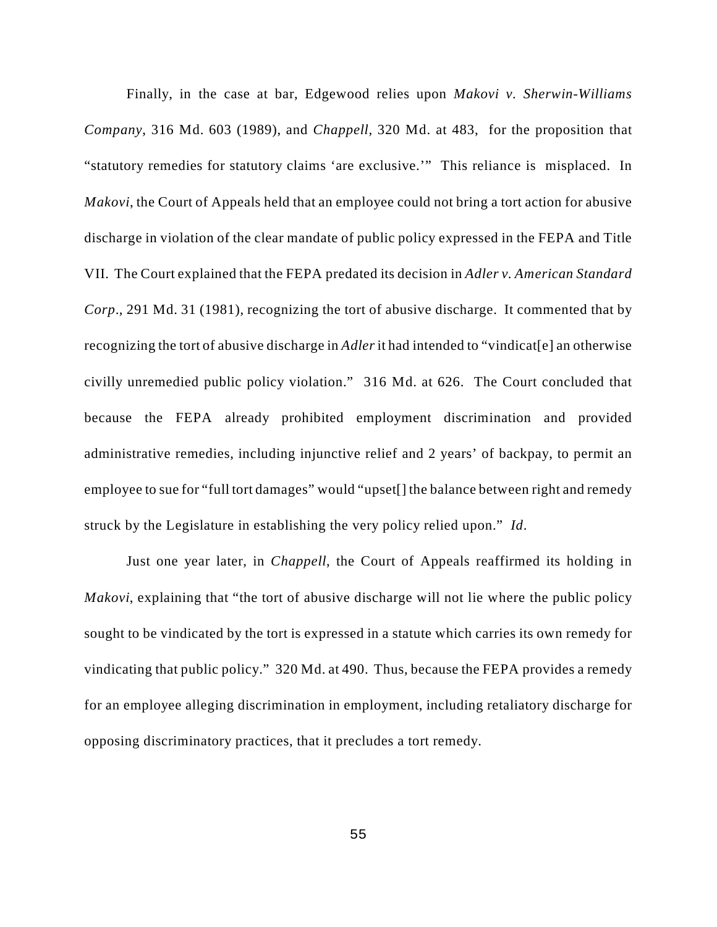Finally, in the case at bar, Edgewood relies upon *Makovi v. Sherwin-Williams Company*, 316 Md. 603 (1989), and *Chappell,* 320 Md. at 483, for the proposition that "statutory remedies for statutory claims 'are exclusive.'" This reliance is misplaced. In *Makovi*, the Court of Appeals held that an employee could not bring a tort action for abusive discharge in violation of the clear mandate of public policy expressed in the FEPA and Title VII. The Court explained that the FEPA predated its decision in *Adler v. American Standard Corp*., 291 Md. 31 (1981), recognizing the tort of abusive discharge. It commented that by recognizing the tort of abusive discharge in *Adler* it had intended to "vindicat[e] an otherwise civilly unremedied public policy violation." 316 Md. at 626. The Court concluded that because the FEPA already prohibited employment discrimination and provided administrative remedies, including injunctive relief and 2 years' of backpay, to permit an employee to sue for "full tort damages" would "upset[] the balance between right and remedy struck by the Legislature in establishing the very policy relied upon." *Id*.

Just one year later, in *Chappell*, the Court of Appeals reaffirmed its holding in *Makovi*, explaining that "the tort of abusive discharge will not lie where the public policy sought to be vindicated by the tort is expressed in a statute which carries its own remedy for vindicating that public policy." 320 Md. at 490. Thus, because the FEPA provides a remedy for an employee alleging discrimination in employment, including retaliatory discharge for opposing discriminatory practices, that it precludes a tort remedy.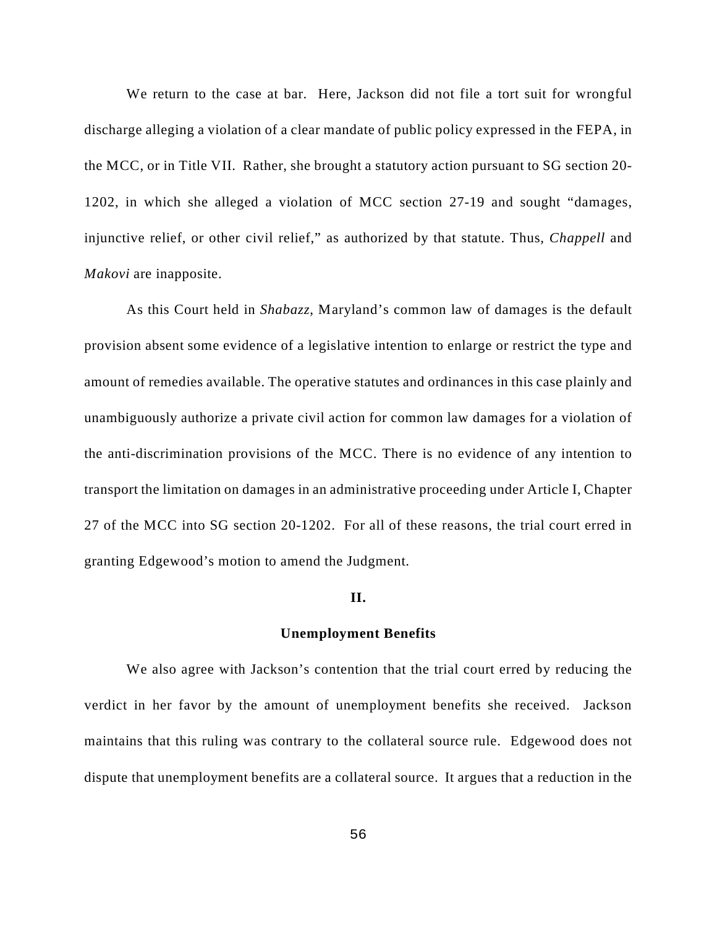We return to the case at bar. Here, Jackson did not file a tort suit for wrongful discharge alleging a violation of a clear mandate of public policy expressed in the FEPA, in the MCC, or in Title VII. Rather, she brought a statutory action pursuant to SG section 20- 1202, in which she alleged a violation of MCC section 27-19 and sought "damages, injunctive relief, or other civil relief," as authorized by that statute. Thus, *Chappell* and *Makovi* are inapposite.

As this Court held in *Shabazz*, Maryland's common law of damages is the default provision absent some evidence of a legislative intention to enlarge or restrict the type and amount of remedies available. The operative statutes and ordinances in this case plainly and unambiguously authorize a private civil action for common law damages for a violation of the anti-discrimination provisions of the MCC. There is no evidence of any intention to transport the limitation on damages in an administrative proceeding under Article I, Chapter 27 of the MCC into SG section 20-1202. For all of these reasons, the trial court erred in granting Edgewood's motion to amend the Judgment.

#### **II.**

#### **Unemployment Benefits**

We also agree with Jackson's contention that the trial court erred by reducing the verdict in her favor by the amount of unemployment benefits she received. Jackson maintains that this ruling was contrary to the collateral source rule. Edgewood does not dispute that unemployment benefits are a collateral source. It argues that a reduction in the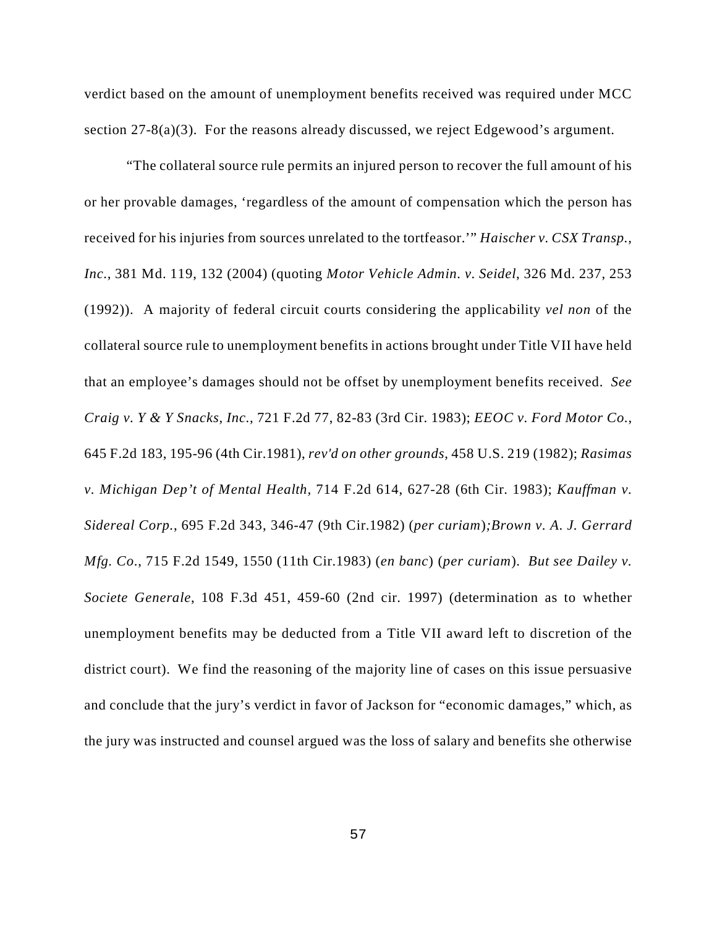verdict based on the amount of unemployment benefits received was required under MCC section  $27-8(a)(3)$ . For the reasons already discussed, we reject Edgewood's argument.

"The collateral source rule permits an injured person to recover the full amount of his or her provable damages, 'regardless of the amount of compensation which the person has received for his injuries from sources unrelated to the tortfeasor.'" *Haischer v. CSX Transp., Inc.*, 381 Md. 119, 132 (2004) (quoting *Motor Vehicle Admin. v. Seidel*, 326 Md. 237, 253 (1992)). A majority of federal circuit courts considering the applicability *vel non* of the collateral source rule to unemployment benefits in actions brought under Title VII have held that an employee's damages should not be offset by unemployment benefits received. *See Craig v. Y & Y Snacks, Inc.*, 721 F.2d 77, 82-83 (3rd Cir. 1983); *EEOC v. Ford Motor Co.*, 645 F.2d 183, 195-96 (4th Cir.1981), *rev'd on other grounds*, 458 U.S. 219 (1982); *Rasimas v. Michigan Dep't of Mental Health,* 714 F.2d 614, 627-28 (6th Cir. 1983); *Kauffman v. Sidereal Corp.*, 695 F.2d 343, 346-47 (9th Cir.1982) (*per curiam*)*;Brown v. A. J. Gerrard Mfg. Co.*, 715 F.2d 1549, 1550 (11th Cir.1983) (*en banc*) (*per curiam*). *But see Dailey v. Societe Generale*, 108 F.3d 451, 459-60 (2nd cir. 1997) (determination as to whether unemployment benefits may be deducted from a Title VII award left to discretion of the district court). We find the reasoning of the majority line of cases on this issue persuasive and conclude that the jury's verdict in favor of Jackson for "economic damages," which, as the jury was instructed and counsel argued was the loss of salary and benefits she otherwise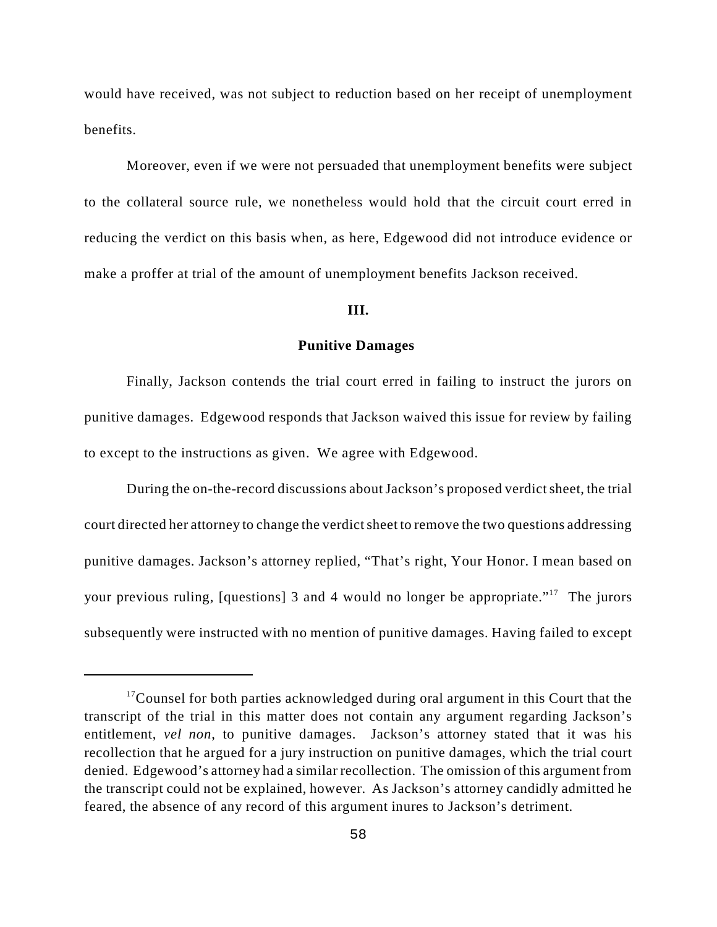would have received, was not subject to reduction based on her receipt of unemployment benefits.

Moreover, even if we were not persuaded that unemployment benefits were subject to the collateral source rule, we nonetheless would hold that the circuit court erred in reducing the verdict on this basis when, as here, Edgewood did not introduce evidence or make a proffer at trial of the amount of unemployment benefits Jackson received.

## **III.**

#### **Punitive Damages**

Finally, Jackson contends the trial court erred in failing to instruct the jurors on punitive damages. Edgewood responds that Jackson waived this issue for review by failing to except to the instructions as given. We agree with Edgewood.

During the on-the-record discussions about Jackson's proposed verdict sheet, the trial court directed her attorney to change the verdict sheet to remove the two questions addressing punitive damages. Jackson's attorney replied, "That's right, Your Honor. I mean based on your previous ruling, [questions] 3 and 4 would no longer be appropriate."<sup>17</sup> The jurors subsequently were instructed with no mention of punitive damages. Having failed to except

 $17$ Counsel for both parties acknowledged during oral argument in this Court that the transcript of the trial in this matter does not contain any argument regarding Jackson's entitlement, *vel non*, to punitive damages. Jackson's attorney stated that it was his recollection that he argued for a jury instruction on punitive damages, which the trial court denied. Edgewood's attorney had a similar recollection. The omission of this argument from the transcript could not be explained, however. As Jackson's attorney candidly admitted he feared, the absence of any record of this argument inures to Jackson's detriment.